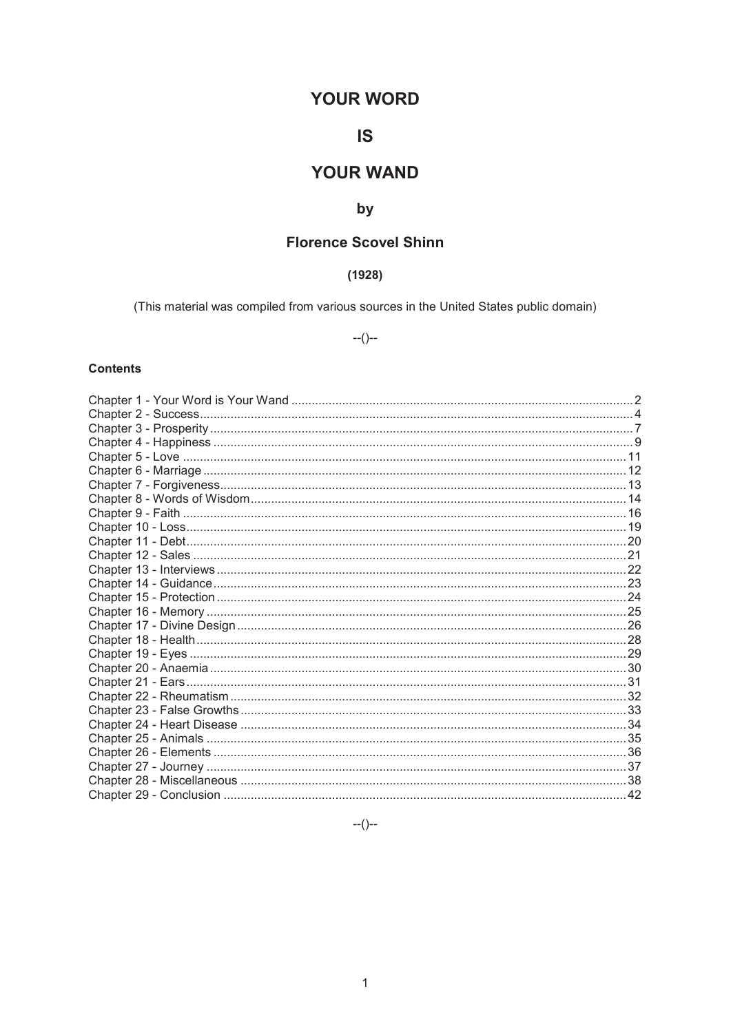# **YOUR WORD**

# **IS**

# **YOUR WAND**

# by

# **Florence Scovel Shinn**

# $(1928)$

(This material was compiled from various sources in the United States public domain)

# $-(-)$

### **Contents**

# $-(-)$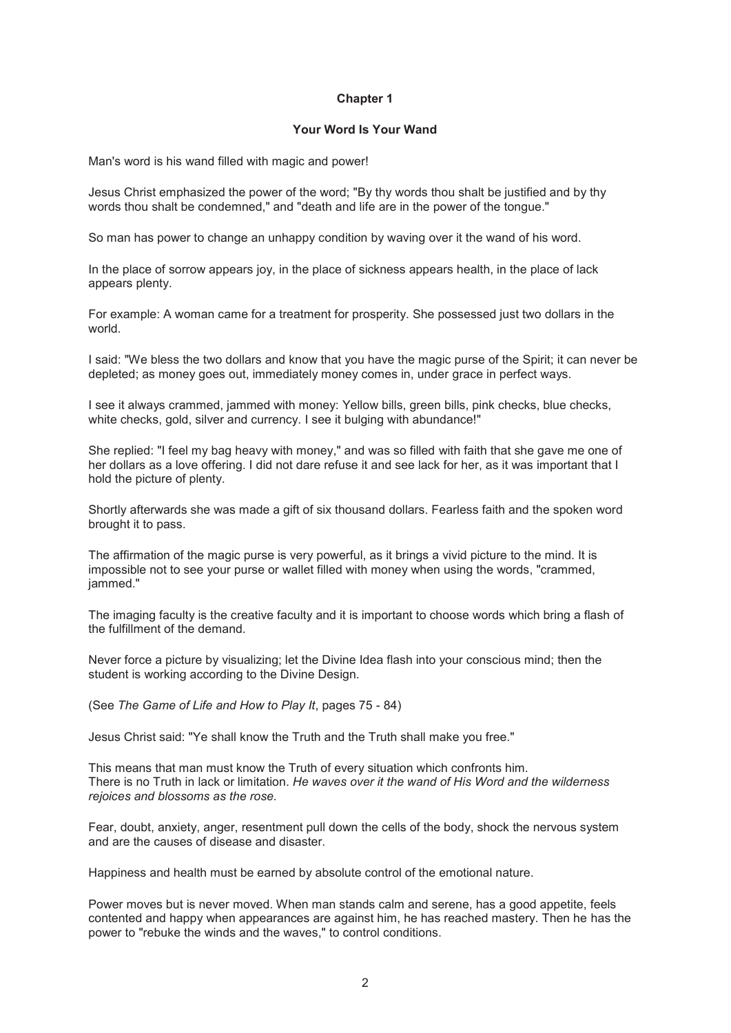### **Your Word Is Your Wand**

Man's word is his wand filled with magic and power!

Jesus Christ emphasized the power of the word; "By thy words thou shalt be justified and by thy words thou shalt be condemned," and "death and life are in the power of the tongue."

So man has power to change an unhappy condition by waving over it the wand of his word.

In the place of sorrow appears joy, in the place of sickness appears health, in the place of lack appears plenty.

For example: A woman came for a treatment for prosperity. She possessed just two dollars in the world.

I said: "We bless the two dollars and know that you have the magic purse of the Spirit; it can never be depleted; as money goes out, immediately money comes in, under grace in perfect ways.

I see it always crammed, jammed with money: Yellow bills, green bills, pink checks, blue checks, white checks, gold, silver and currency. I see it bulging with abundance!"

She replied: "I feel my bag heavy with money," and was so filled with faith that she gave me one of her dollars as a love offering. I did not dare refuse it and see lack for her, as it was important that I hold the picture of plenty.

Shortly afterwards she was made a gift of six thousand dollars. Fearless faith and the spoken word brought it to pass.

The affirmation of the magic purse is very powerful, as it brings a vivid picture to the mind. It is impossible not to see your purse or wallet filled with money when using the words, "crammed, jammed."

The imaging faculty is the creative faculty and it is important to choose words which bring a flash of the fulfillment of the demand.

Never force a picture by visualizing; let the Divine Idea flash into your conscious mind; then the student is working according to the Divine Design.

(See *The Game of Life and How to Play It*, pages 75 - 84)

Jesus Christ said: "Ye shall know the Truth and the Truth shall make you free."

This means that man must know the Truth of every situation which confronts him. There is no Truth in lack or limitation. *He waves over it the wand of His Word and the wilderness rejoices and blossoms as the rose.*

Fear, doubt, anxiety, anger, resentment pull down the cells of the body, shock the nervous system and are the causes of disease and disaster.

Happiness and health must be earned by absolute control of the emotional nature.

Power moves but is never moved. When man stands calm and serene, has a good appetite, feels contented and happy when appearances are against him, he has reached mastery. Then he has the power to "rebuke the winds and the waves," to control conditions.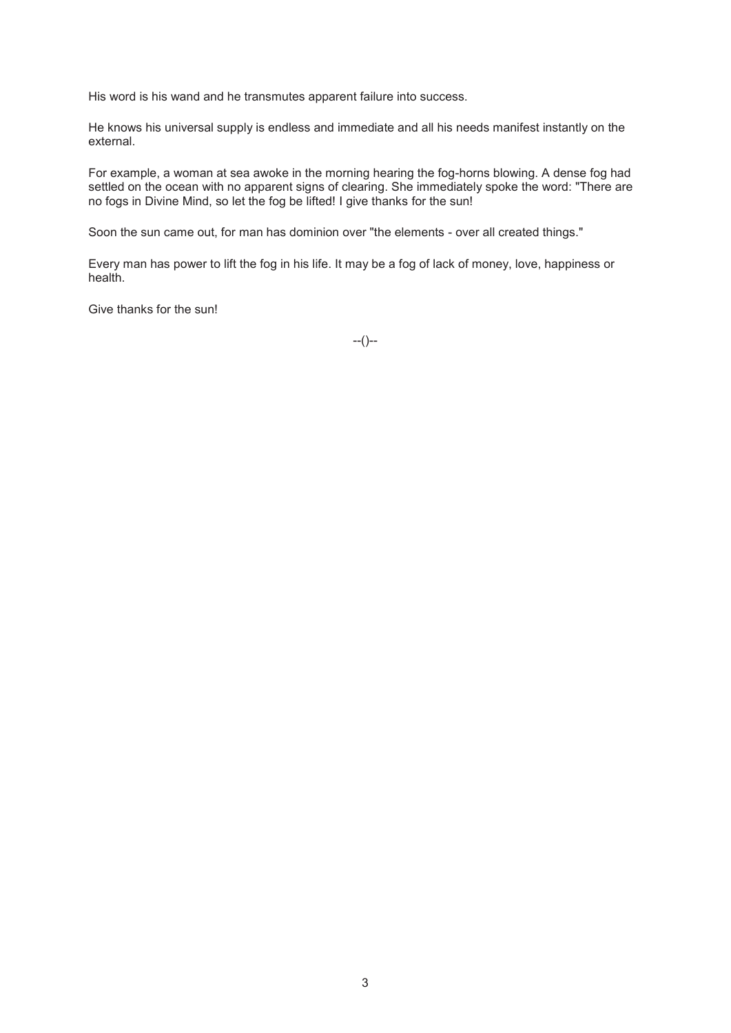His word is his wand and he transmutes apparent failure into success.

He knows his universal supply is endless and immediate and all his needs manifest instantly on the external.

For example, a woman at sea awoke in the morning hearing the fog-horns blowing. A dense fog had settled on the ocean with no apparent signs of clearing. She immediately spoke the word: "There are no fogs in Divine Mind, so let the fog be lifted! I give thanks for the sun!

Soon the sun came out, for man has dominion over "the elements - over all created things."

Every man has power to lift the fog in his life. It may be a fog of lack of money, love, happiness or health.

Give thanks for the sun!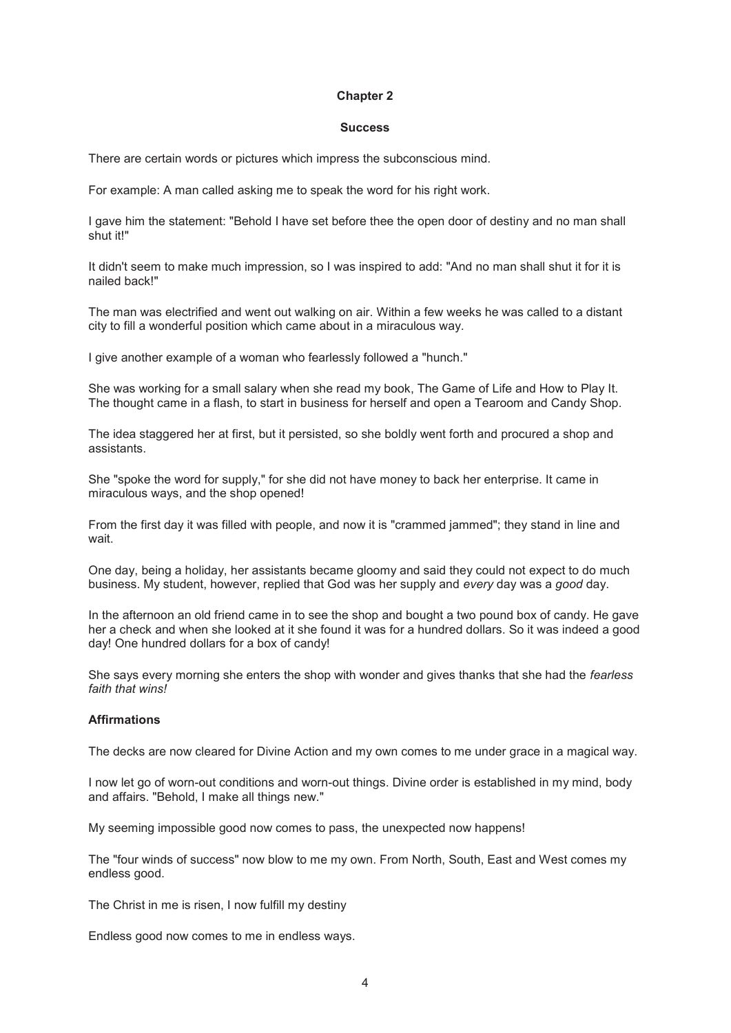### **Success**

There are certain words or pictures which impress the subconscious mind.

For example: A man called asking me to speak the word for his right work.

I gave him the statement: "Behold I have set before thee the open door of destiny and no man shall shut it!"

It didn't seem to make much impression, so I was inspired to add: "And no man shall shut it for it is nailed back!"

The man was electrified and went out walking on air. Within a few weeks he was called to a distant city to fill a wonderful position which came about in a miraculous way.

I give another example of a woman who fearlessly followed a "hunch."

She was working for a small salary when she read my book, The Game of Life and How to Play It. The thought came in a flash, to start in business for herself and open a Tearoom and Candy Shop.

The idea staggered her at first, but it persisted, so she boldly went forth and procured a shop and assistants.

She "spoke the word for supply," for she did not have money to back her enterprise. It came in miraculous ways, and the shop opened!

From the first day it was filled with people, and now it is "crammed jammed"; they stand in line and wait.

One day, being a holiday, her assistants became gloomy and said they could not expect to do much business. My student, however, replied that God was her supply and *every* day was a *good* day.

In the afternoon an old friend came in to see the shop and bought a two pound box of candy. He gave her a check and when she looked at it she found it was for a hundred dollars. So it was indeed a good day! One hundred dollars for a box of candy!

She says every morning she enters the shop with wonder and gives thanks that she had the *fearless faith that wins!* 

### **Affirmations**

The decks are now cleared for Divine Action and my own comes to me under grace in a magical way.

I now let go of worn-out conditions and worn-out things. Divine order is established in my mind, body and affairs. "Behold, I make all things new."

My seeming impossible good now comes to pass, the unexpected now happens!

The "four winds of success" now blow to me my own. From North, South, East and West comes my endless good.

The Christ in me is risen, I now fulfill my destiny

Endless good now comes to me in endless ways.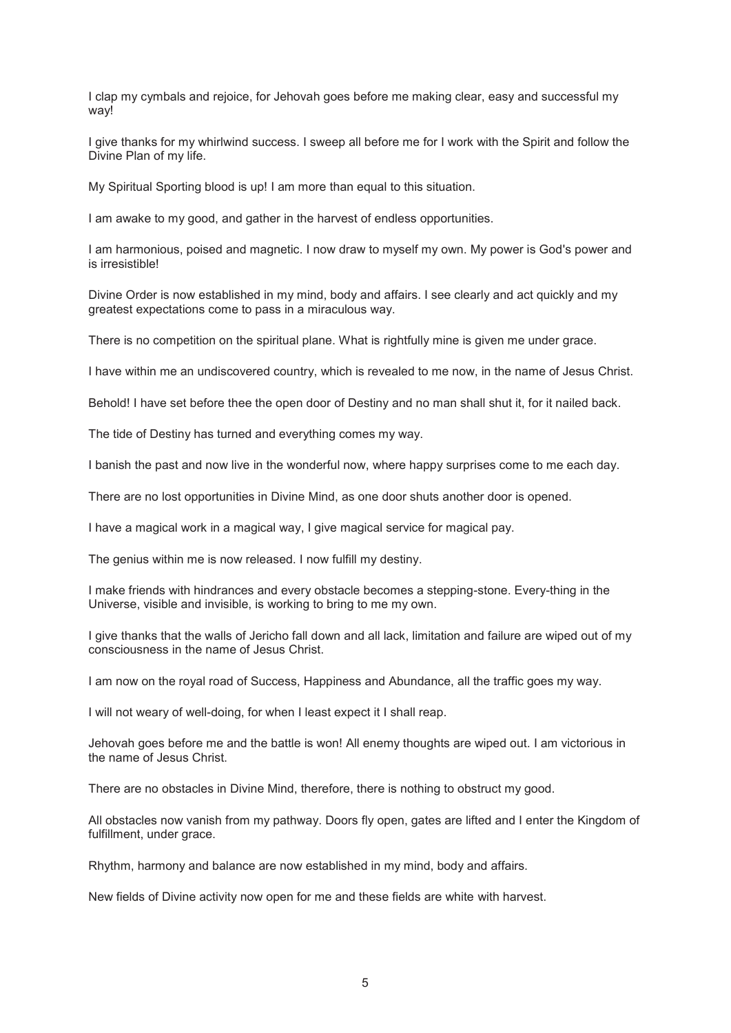I clap my cymbals and rejoice, for Jehovah goes before me making clear, easy and successful my way!

I give thanks for my whirlwind success. I sweep all before me for I work with the Spirit and follow the Divine Plan of my life.

My Spiritual Sporting blood is up! I am more than equal to this situation.

I am awake to my good, and gather in the harvest of endless opportunities.

I am harmonious, poised and magnetic. I now draw to myself my own. My power is God's power and is irresistible!

Divine Order is now established in my mind, body and affairs. I see clearly and act quickly and my greatest expectations come to pass in a miraculous way.

There is no competition on the spiritual plane. What is rightfully mine is given me under grace.

I have within me an undiscovered country, which is revealed to me now, in the name of Jesus Christ.

Behold! I have set before thee the open door of Destiny and no man shall shut it, for it nailed back.

The tide of Destiny has turned and everything comes my way.

I banish the past and now live in the wonderful now, where happy surprises come to me each day.

There are no lost opportunities in Divine Mind, as one door shuts another door is opened.

I have a magical work in a magical way, I give magical service for magical pay.

The genius within me is now released. I now fulfill my destiny.

I make friends with hindrances and every obstacle becomes a stepping-stone. Every-thing in the Universe, visible and invisible, is working to bring to me my own.

I give thanks that the walls of Jericho fall down and all lack, limitation and failure are wiped out of my consciousness in the name of Jesus Christ.

I am now on the royal road of Success, Happiness and Abundance, all the traffic goes my way.

I will not weary of well-doing, for when I least expect it I shall reap.

Jehovah goes before me and the battle is won! All enemy thoughts are wiped out. I am victorious in the name of Jesus Christ.

There are no obstacles in Divine Mind, therefore, there is nothing to obstruct my good.

All obstacles now vanish from my pathway. Doors fly open, gates are lifted and I enter the Kingdom of fulfillment, under grace.

Rhythm, harmony and balance are now established in my mind, body and affairs.

New fields of Divine activity now open for me and these fields are white with harvest.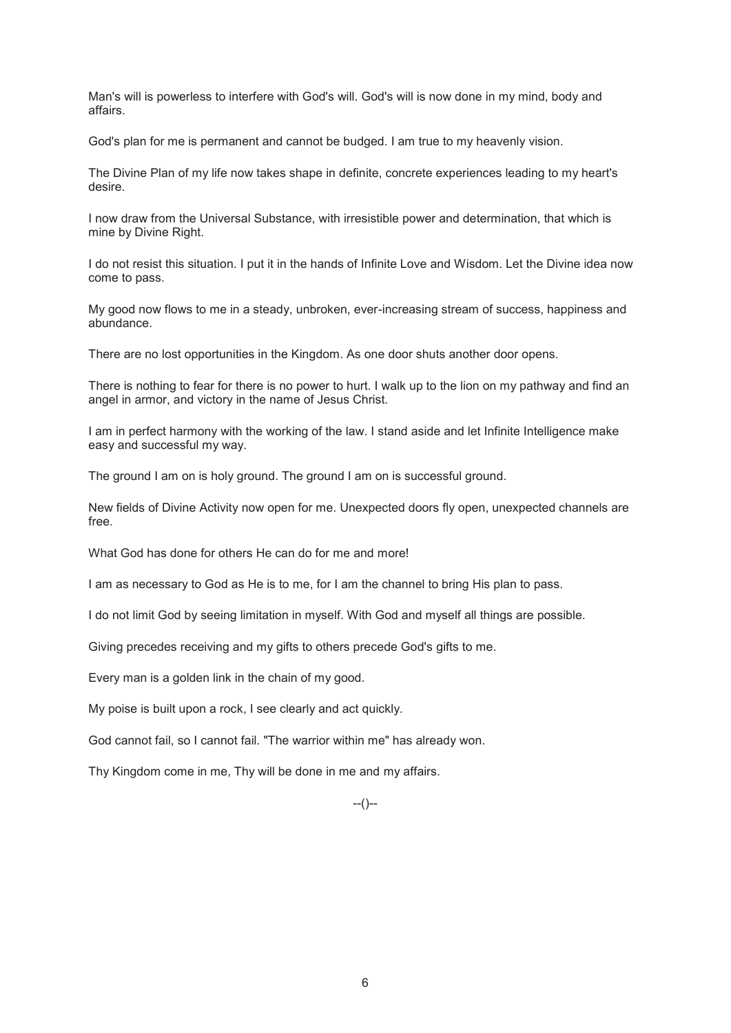Man's will is powerless to interfere with God's will. God's will is now done in my mind, body and affairs.

God's plan for me is permanent and cannot be budged. I am true to my heavenly vision.

The Divine Plan of my life now takes shape in definite, concrete experiences leading to my heart's desire.

I now draw from the Universal Substance, with irresistible power and determination, that which is mine by Divine Right.

I do not resist this situation. I put it in the hands of Infinite Love and Wisdom. Let the Divine idea now come to pass.

My good now flows to me in a steady, unbroken, ever-increasing stream of success, happiness and abundance.

There are no lost opportunities in the Kingdom. As one door shuts another door opens.

There is nothing to fear for there is no power to hurt. I walk up to the lion on my pathway and find an angel in armor, and victory in the name of Jesus Christ.

I am in perfect harmony with the working of the law. I stand aside and let Infinite Intelligence make easy and successful my way.

The ground I am on is holy ground. The ground I am on is successful ground.

New fields of Divine Activity now open for me. Unexpected doors fly open, unexpected channels are free.

What God has done for others He can do for me and more!

I am as necessary to God as He is to me, for I am the channel to bring His plan to pass.

I do not limit God by seeing limitation in myself. With God and myself all things are possible.

Giving precedes receiving and my gifts to others precede God's gifts to me.

Every man is a golden link in the chain of my good.

My poise is built upon a rock, I see clearly and act quickly.

God cannot fail, so I cannot fail. "The warrior within me" has already won.

Thy Kingdom come in me, Thy will be done in me and my affairs.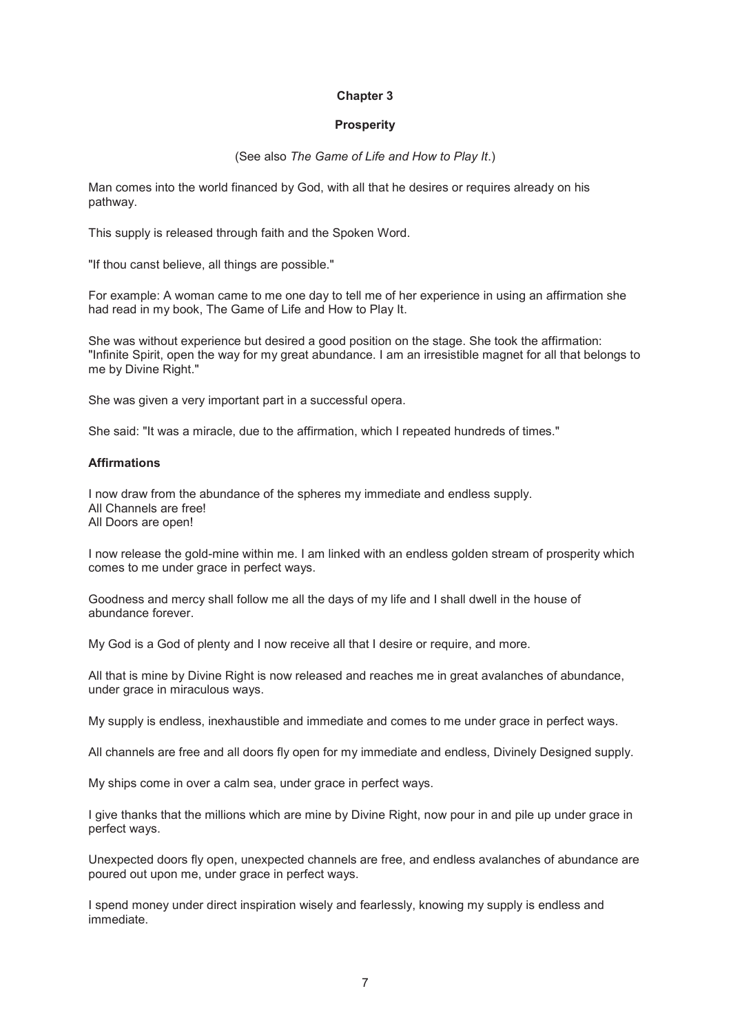### **Prosperity**

### (See also *The Game of Life and How to Play It*.)

Man comes into the world financed by God, with all that he desires or requires already on his pathway.

This supply is released through faith and the Spoken Word.

"If thou canst believe, all things are possible."

For example: A woman came to me one day to tell me of her experience in using an affirmation she had read in my book, The Game of Life and How to Play It.

She was without experience but desired a good position on the stage. She took the affirmation: "Infinite Spirit, open the way for my great abundance. I am an irresistible magnet for all that belongs to me by Divine Right."

She was given a very important part in a successful opera.

She said: "It was a miracle, due to the affirmation, which I repeated hundreds of times."

### **Affirmations**

I now draw from the abundance of the spheres my immediate and endless supply. All Channels are free! All Doors are open!

I now release the gold-mine within me. I am linked with an endless golden stream of prosperity which comes to me under grace in perfect ways.

Goodness and mercy shall follow me all the days of my life and I shall dwell in the house of abundance forever.

My God is a God of plenty and I now receive all that I desire or require, and more.

All that is mine by Divine Right is now released and reaches me in great avalanches of abundance, under grace in miraculous ways.

My supply is endless, inexhaustible and immediate and comes to me under grace in perfect ways.

All channels are free and all doors fly open for my immediate and endless, Divinely Designed supply.

My ships come in over a calm sea, under grace in perfect ways.

I give thanks that the millions which are mine by Divine Right, now pour in and pile up under grace in perfect ways.

Unexpected doors fly open, unexpected channels are free, and endless avalanches of abundance are poured out upon me, under grace in perfect ways.

I spend money under direct inspiration wisely and fearlessly, knowing my supply is endless and immediate.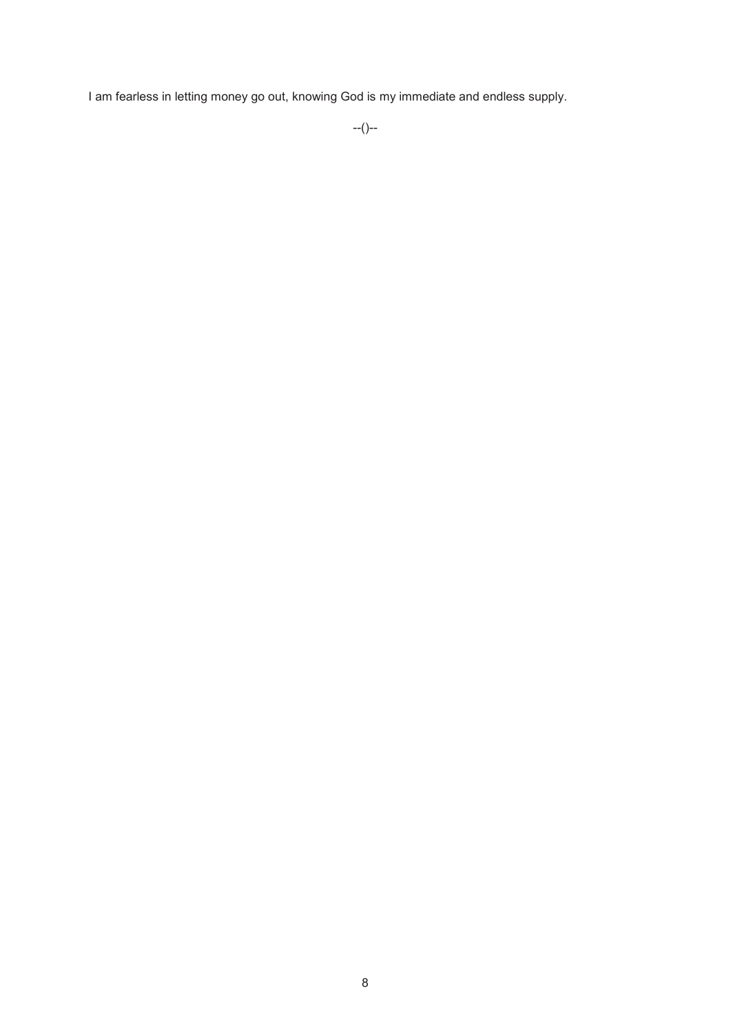I am fearless in letting money go out, knowing God is my immediate and endless supply.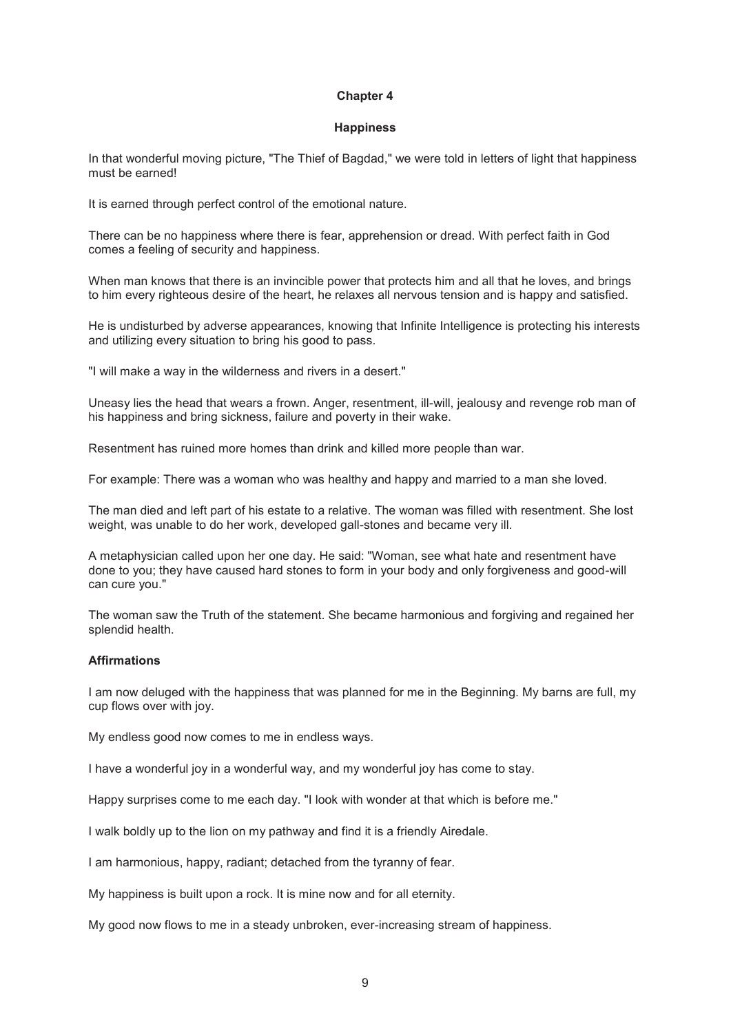### **Happiness**

In that wonderful moving picture, "The Thief of Bagdad," we were told in letters of light that happiness must be earned!

It is earned through perfect control of the emotional nature.

There can be no happiness where there is fear, apprehension or dread. With perfect faith in God comes a feeling of security and happiness.

When man knows that there is an invincible power that protects him and all that he loves, and brings to him every righteous desire of the heart, he relaxes all nervous tension and is happy and satisfied.

He is undisturbed by adverse appearances, knowing that Infinite Intelligence is protecting his interests and utilizing every situation to bring his good to pass.

"I will make a way in the wilderness and rivers in a desert."

Uneasy lies the head that wears a frown. Anger, resentment, ill-will, jealousy and revenge rob man of his happiness and bring sickness, failure and poverty in their wake.

Resentment has ruined more homes than drink and killed more people than war.

For example: There was a woman who was healthy and happy and married to a man she loved.

The man died and left part of his estate to a relative. The woman was filled with resentment. She lost weight, was unable to do her work, developed gall-stones and became very ill.

A metaphysician called upon her one day. He said: "Woman, see what hate and resentment have done to you; they have caused hard stones to form in your body and only forgiveness and good-will can cure you."

The woman saw the Truth of the statement. She became harmonious and forgiving and regained her splendid health.

### **Affirmations**

I am now deluged with the happiness that was planned for me in the Beginning. My barns are full, my cup flows over with joy.

My endless good now comes to me in endless ways.

I have a wonderful joy in a wonderful way, and my wonderful joy has come to stay.

Happy surprises come to me each day. "I look with wonder at that which is before me."

I walk boldly up to the lion on my pathway and find it is a friendly Airedale.

I am harmonious, happy, radiant; detached from the tyranny of fear.

My happiness is built upon a rock. It is mine now and for all eternity.

My good now flows to me in a steady unbroken, ever-increasing stream of happiness.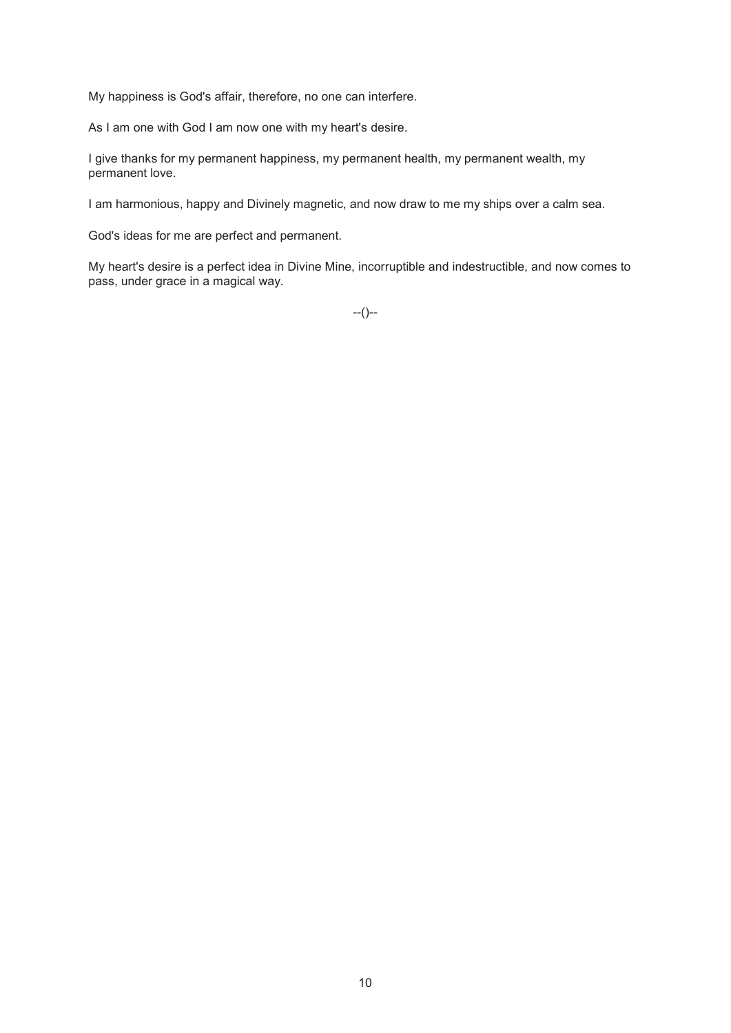My happiness is God's affair, therefore, no one can interfere.

As I am one with God I am now one with my heart's desire.

I give thanks for my permanent happiness, my permanent health, my permanent wealth, my permanent love.

I am harmonious, happy and Divinely magnetic, and now draw to me my ships over a calm sea.

God's ideas for me are perfect and permanent.

My heart's desire is a perfect idea in Divine Mine, incorruptible and indestructible, and now comes to pass, under grace in a magical way.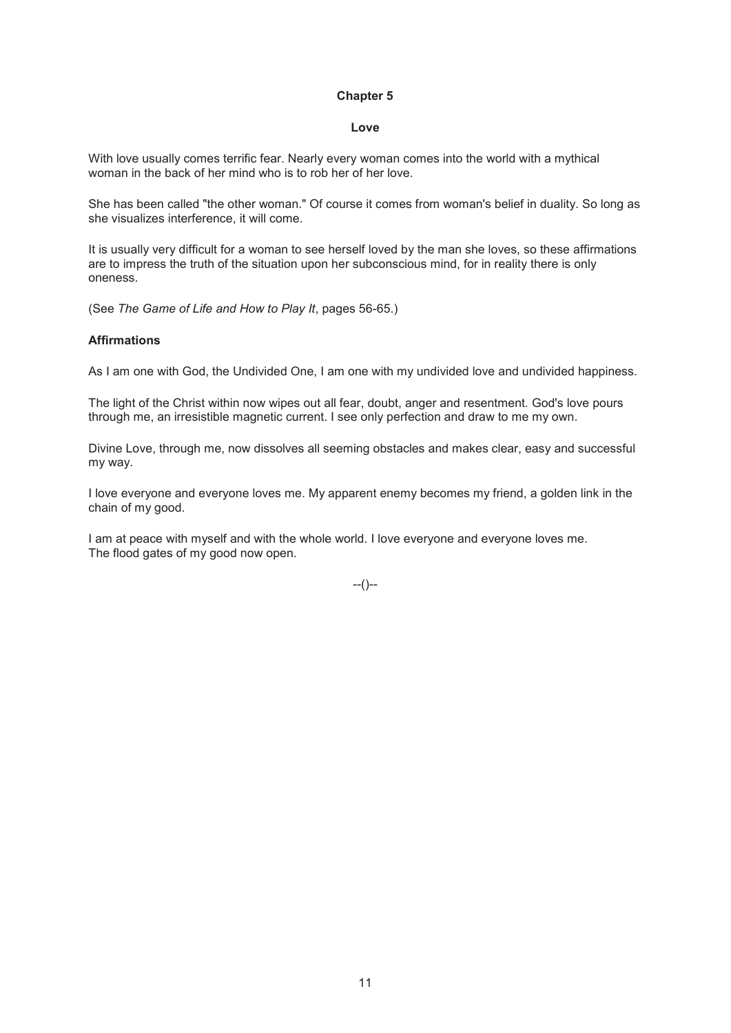### **Love**

With love usually comes terrific fear. Nearly every woman comes into the world with a mythical woman in the back of her mind who is to rob her of her love.

She has been called "the other woman." Of course it comes from woman's belief in duality. So long as she visualizes interference, it will come.

It is usually very difficult for a woman to see herself loved by the man she loves, so these affirmations are to impress the truth of the situation upon her subconscious mind, for in reality there is only oneness.

(See *The Game of Life and How to Play It*, pages 56-65.)

### **Affirmations**

As I am one with God, the Undivided One, I am one with my undivided love and undivided happiness.

The light of the Christ within now wipes out all fear, doubt, anger and resentment. God's love pours through me, an irresistible magnetic current. I see only perfection and draw to me my own.

Divine Love, through me, now dissolves all seeming obstacles and makes clear, easy and successful my way.

I love everyone and everyone loves me. My apparent enemy becomes my friend, a golden link in the chain of my good.

I am at peace with myself and with the whole world. I love everyone and everyone loves me. The flood gates of my good now open.

 $-(-)$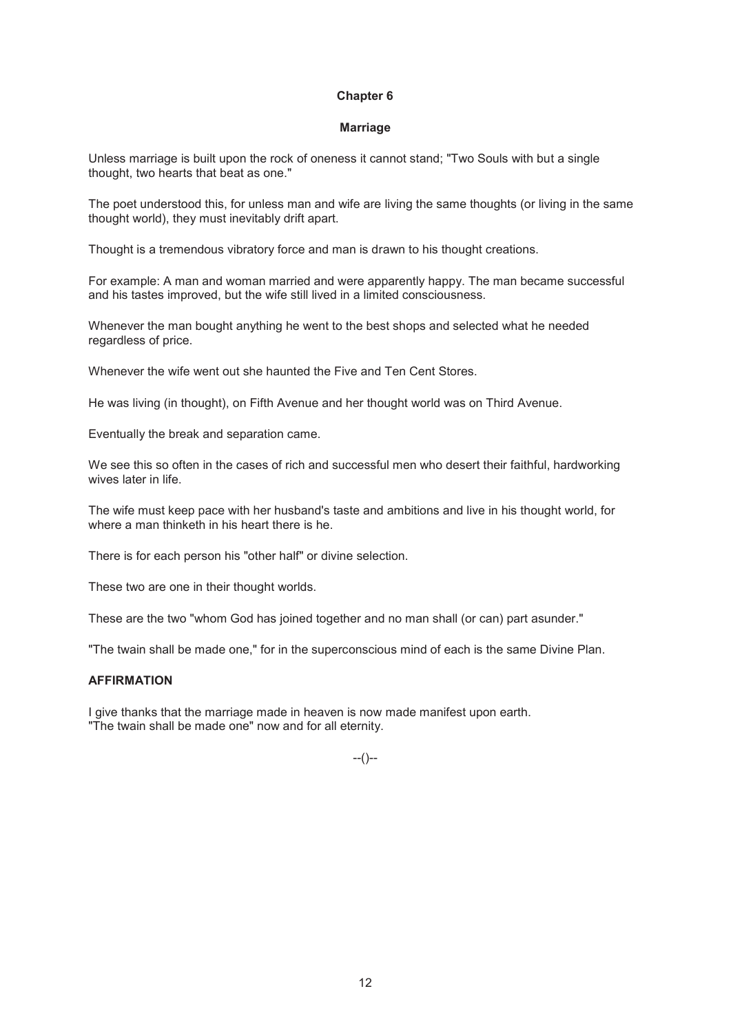### **Marriage**

Unless marriage is built upon the rock of oneness it cannot stand; "Two Souls with but a single thought, two hearts that beat as one."

The poet understood this, for unless man and wife are living the same thoughts (or living in the same thought world), they must inevitably drift apart.

Thought is a tremendous vibratory force and man is drawn to his thought creations.

For example: A man and woman married and were apparently happy. The man became successful and his tastes improved, but the wife still lived in a limited consciousness.

Whenever the man bought anything he went to the best shops and selected what he needed regardless of price.

Whenever the wife went out she haunted the Five and Ten Cent Stores.

He was living (in thought), on Fifth Avenue and her thought world was on Third Avenue.

Eventually the break and separation came.

We see this so often in the cases of rich and successful men who desert their faithful, hardworking wives later in life.

The wife must keep pace with her husband's taste and ambitions and live in his thought world, for where a man thinketh in his heart there is he.

There is for each person his "other half" or divine selection.

These two are one in their thought worlds.

These are the two "whom God has joined together and no man shall (or can) part asunder."

"The twain shall be made one," for in the superconscious mind of each is the same Divine Plan.

### **AFFIRMATION**

I give thanks that the marriage made in heaven is now made manifest upon earth. "The twain shall be made one" now and for all eternity.

 $-(-)$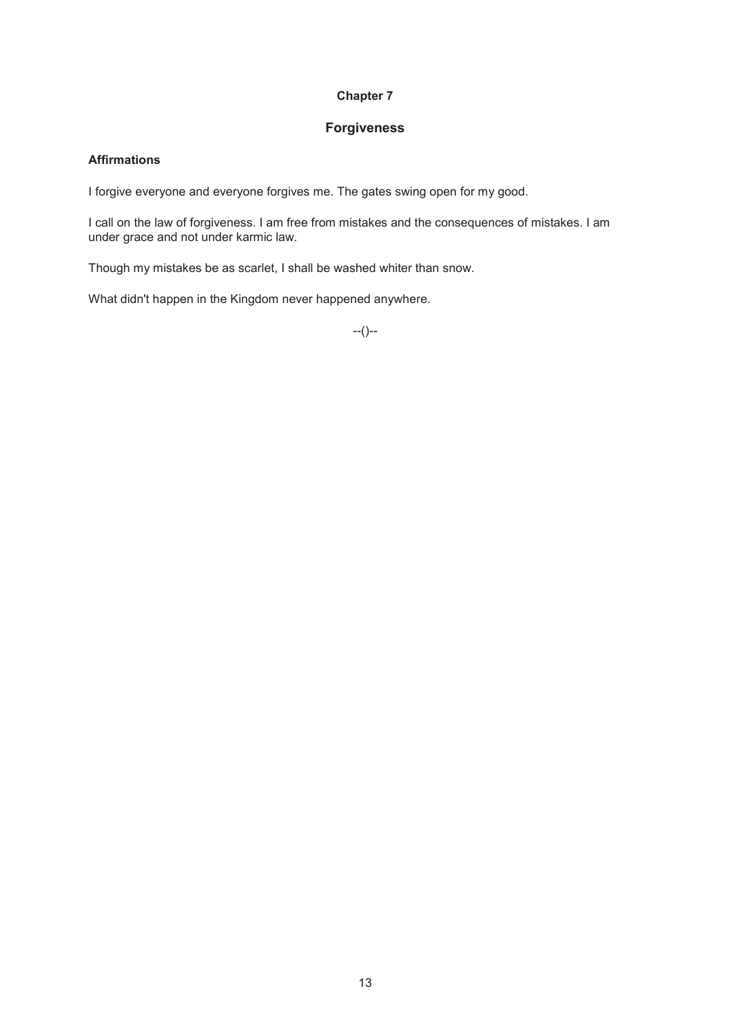# **Forgiveness**

# **Affirmations**

I forgive everyone and everyone forgives me. The gates swing open for my good.

I call on the law of forgiveness. I am free from mistakes and the consequences of mistakes. I am under grace and not under karmic law.

Though my mistakes be as scarlet, I shall be washed whiter than snow.

What didn't happen in the Kingdom never happened anywhere.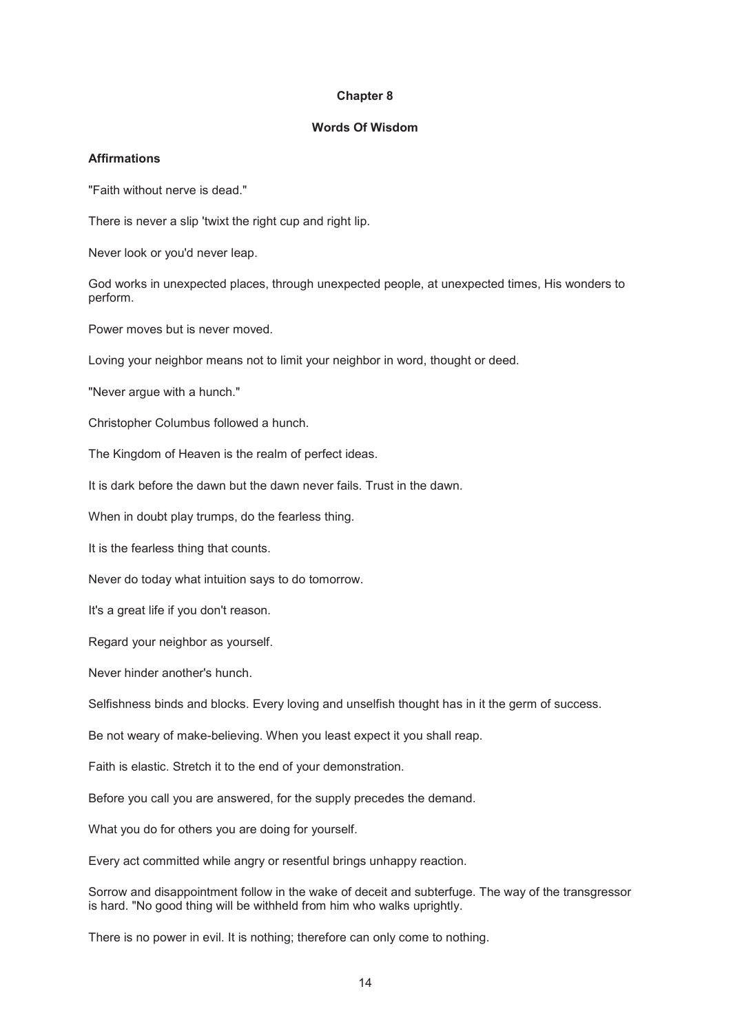### **Words Of Wisdom**

### **Affirmations**

"Faith without nerve is dead."

There is never a slip 'twixt the right cup and right lip.

Never look or you'd never leap.

God works in unexpected places, through unexpected people, at unexpected times, His wonders to perform.

Power moves but is never moved.

Loving your neighbor means not to limit your neighbor in word, thought or deed.

"Never argue with a hunch."

Christopher Columbus followed a hunch.

The Kingdom of Heaven is the realm of perfect ideas.

It is dark before the dawn but the dawn never fails. Trust in the dawn.

When in doubt play trumps, do the fearless thing.

It is the fearless thing that counts.

Never do today what intuition says to do tomorrow.

It's a great life if you don't reason.

Regard your neighbor as yourself.

Never hinder another's hunch.

Selfishness binds and blocks. Every loving and unselfish thought has in it the germ of success.

Be not weary of make-believing. When you least expect it you shall reap.

Faith is elastic. Stretch it to the end of your demonstration.

Before you call you are answered, for the supply precedes the demand.

What you do for others you are doing for yourself.

Every act committed while angry or resentful brings unhappy reaction.

Sorrow and disappointment follow in the wake of deceit and subterfuge. The way of the transgressor is hard. "No good thing will be withheld from him who walks uprightly.

There is no power in evil. It is nothing; therefore can only come to nothing.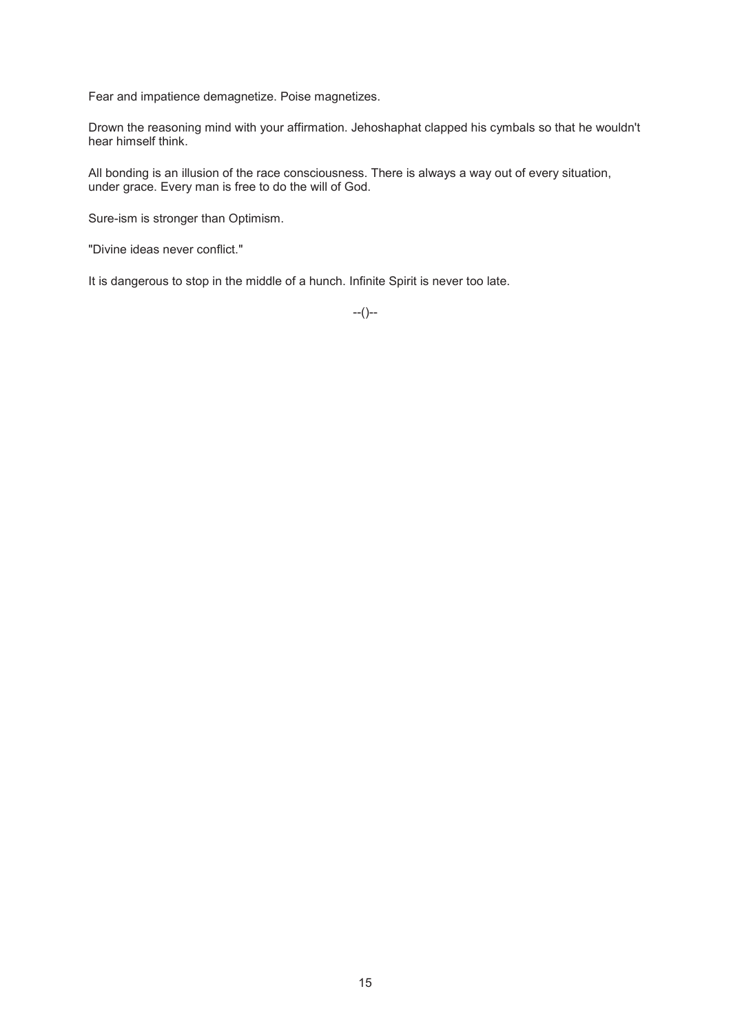Fear and impatience demagnetize. Poise magnetizes.

Drown the reasoning mind with your affirmation. Jehoshaphat clapped his cymbals so that he wouldn't hear himself think.

All bonding is an illusion of the race consciousness. There is always a way out of every situation, under grace. Every man is free to do the will of God.

Sure-ism is stronger than Optimism.

"Divine ideas never conflict."

It is dangerous to stop in the middle of a hunch. Infinite Spirit is never too late.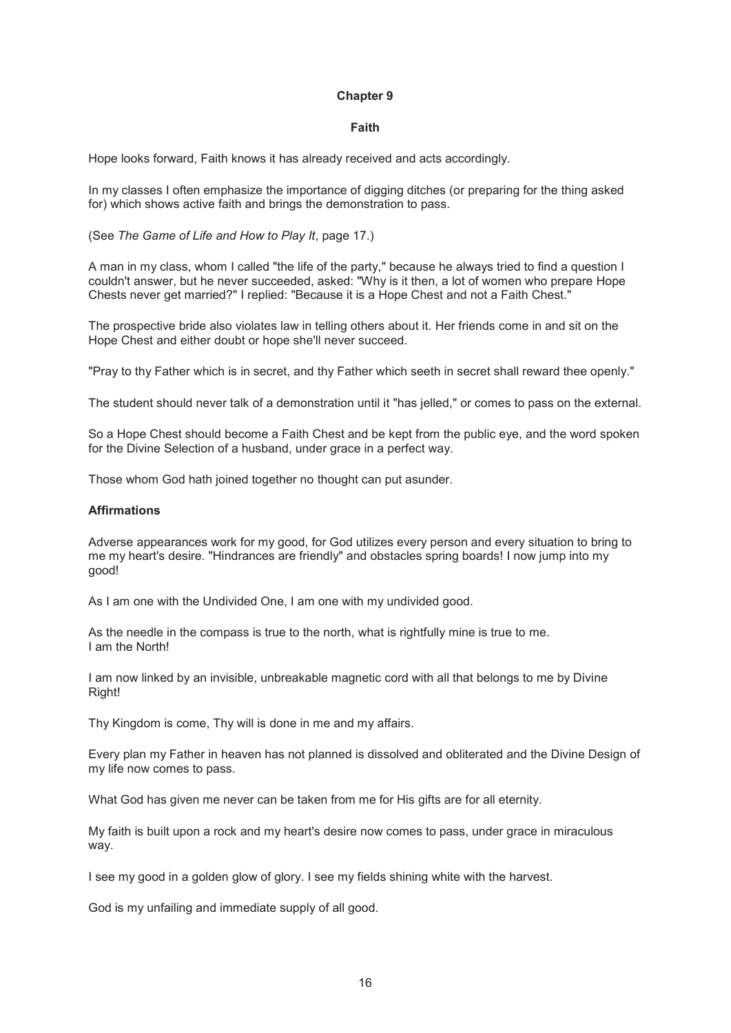#### **Faith**

Hope looks forward, Faith knows it has already received and acts accordingly.

In my classes I often emphasize the importance of digging ditches (or preparing for the thing asked for) which shows active faith and brings the demonstration to pass.

### (See *The Game of Life and How to Play It*, page 17.)

A man in my class, whom I called "the life of the party," because he always tried to find a question I couldn't answer, but he never succeeded, asked: "Why is it then, a lot of women who prepare Hope Chests never get married?" I replied: "Because it is a Hope Chest and not a Faith Chest."

The prospective bride also violates law in telling others about it. Her friends come in and sit on the Hope Chest and either doubt or hope she'll never succeed.

"Pray to thy Father which is in secret, and thy Father which seeth in secret shall reward thee openly."

The student should never talk of a demonstration until it "has jelled," or comes to pass on the external.

So a Hope Chest should become a Faith Chest and be kept from the public eye, and the word spoken for the Divine Selection of a husband, under grace in a perfect way.

Those whom God hath joined together no thought can put asunder.

### **Affirmations**

Adverse appearances work for my good, for God utilizes every person and every situation to bring to me my heart's desire. "Hindrances are friendly" and obstacles spring boards! I now jump into my good!

As I am one with the Undivided One, I am one with my undivided good.

As the needle in the compass is true to the north, what is rightfully mine is true to me. I am the North!

I am now linked by an invisible, unbreakable magnetic cord with all that belongs to me by Divine Right!

Thy Kingdom is come, Thy will is done in me and my affairs.

Every plan my Father in heaven has not planned is dissolved and obliterated and the Divine Design of my life now comes to pass.

What God has given me never can be taken from me for His gifts are for all eternity.

My faith is built upon a rock and my heart's desire now comes to pass, under grace in miraculous way.

I see my good in a golden glow of glory. I see my fields shining white with the harvest.

God is my unfailing and immediate supply of all good.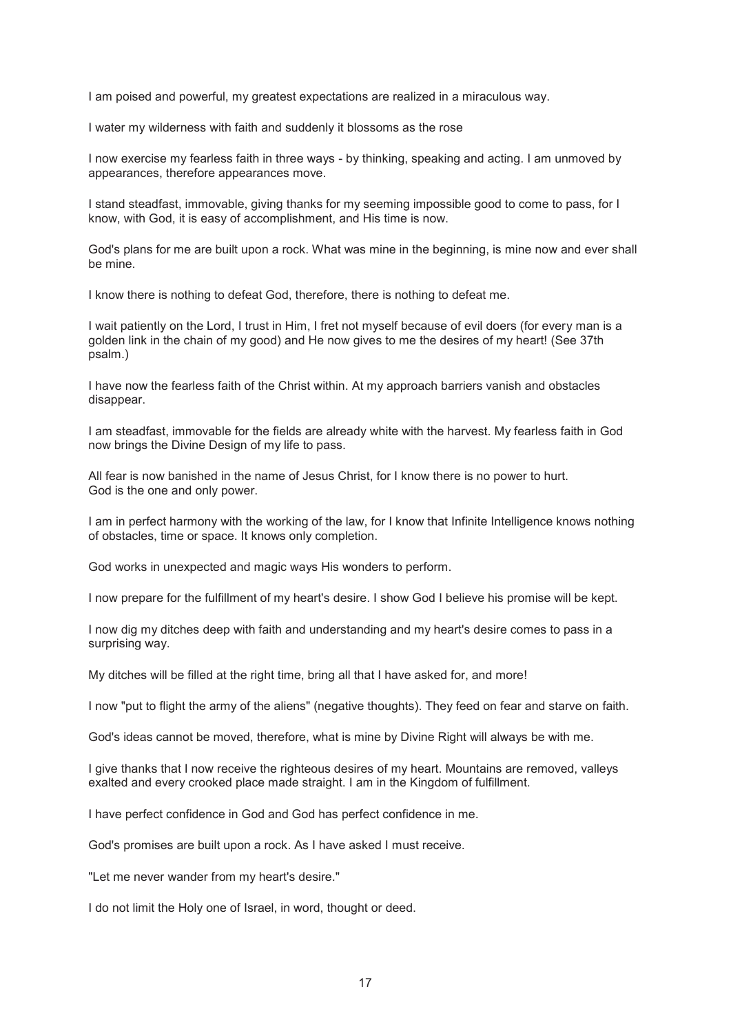I am poised and powerful, my greatest expectations are realized in a miraculous way.

I water my wilderness with faith and suddenly it blossoms as the rose

I now exercise my fearless faith in three ways - by thinking, speaking and acting. I am unmoved by appearances, therefore appearances move.

I stand steadfast, immovable, giving thanks for my seeming impossible good to come to pass, for I know, with God, it is easy of accomplishment, and His time is now.

God's plans for me are built upon a rock. What was mine in the beginning, is mine now and ever shall be mine.

I know there is nothing to defeat God, therefore, there is nothing to defeat me.

I wait patiently on the Lord, I trust in Him, I fret not myself because of evil doers (for every man is a golden link in the chain of my good) and He now gives to me the desires of my heart! (See 37th psalm.)

I have now the fearless faith of the Christ within. At my approach barriers vanish and obstacles disappear.

I am steadfast, immovable for the fields are already white with the harvest. My fearless faith in God now brings the Divine Design of my life to pass.

All fear is now banished in the name of Jesus Christ, for I know there is no power to hurt. God is the one and only power.

I am in perfect harmony with the working of the law, for I know that Infinite Intelligence knows nothing of obstacles, time or space. It knows only completion.

God works in unexpected and magic ways His wonders to perform.

I now prepare for the fulfillment of my heart's desire. I show God I believe his promise will be kept.

I now dig my ditches deep with faith and understanding and my heart's desire comes to pass in a surprising way.

My ditches will be filled at the right time, bring all that I have asked for, and more!

I now "put to flight the army of the aliens" (negative thoughts). They feed on fear and starve on faith.

God's ideas cannot be moved, therefore, what is mine by Divine Right will always be with me.

I give thanks that I now receive the righteous desires of my heart. Mountains are removed, valleys exalted and every crooked place made straight. I am in the Kingdom of fulfillment.

I have perfect confidence in God and God has perfect confidence in me.

God's promises are built upon a rock. As I have asked I must receive.

"Let me never wander from my heart's desire."

I do not limit the Holy one of Israel, in word, thought or deed.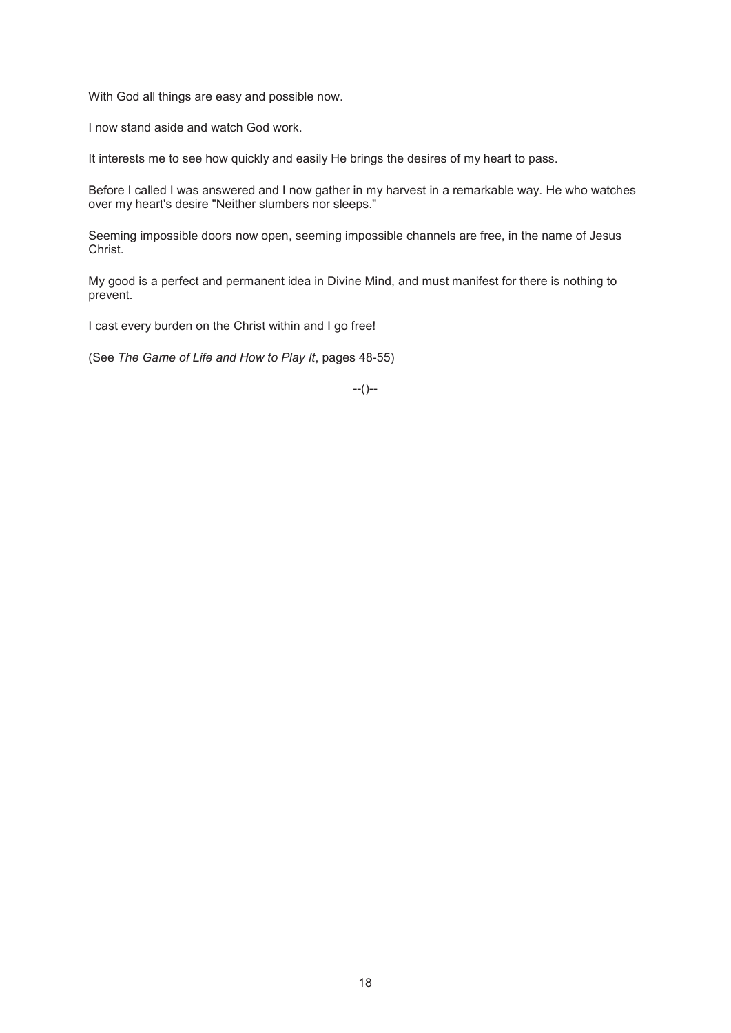With God all things are easy and possible now.

I now stand aside and watch God work.

It interests me to see how quickly and easily He brings the desires of my heart to pass.

Before I called I was answered and I now gather in my harvest in a remarkable way. He who watches over my heart's desire "Neither slumbers nor sleeps."

Seeming impossible doors now open, seeming impossible channels are free, in the name of Jesus Christ.

My good is a perfect and permanent idea in Divine Mind, and must manifest for there is nothing to prevent.

I cast every burden on the Christ within and I go free!

(See *The Game of Life and How to Play It*, pages 48-55)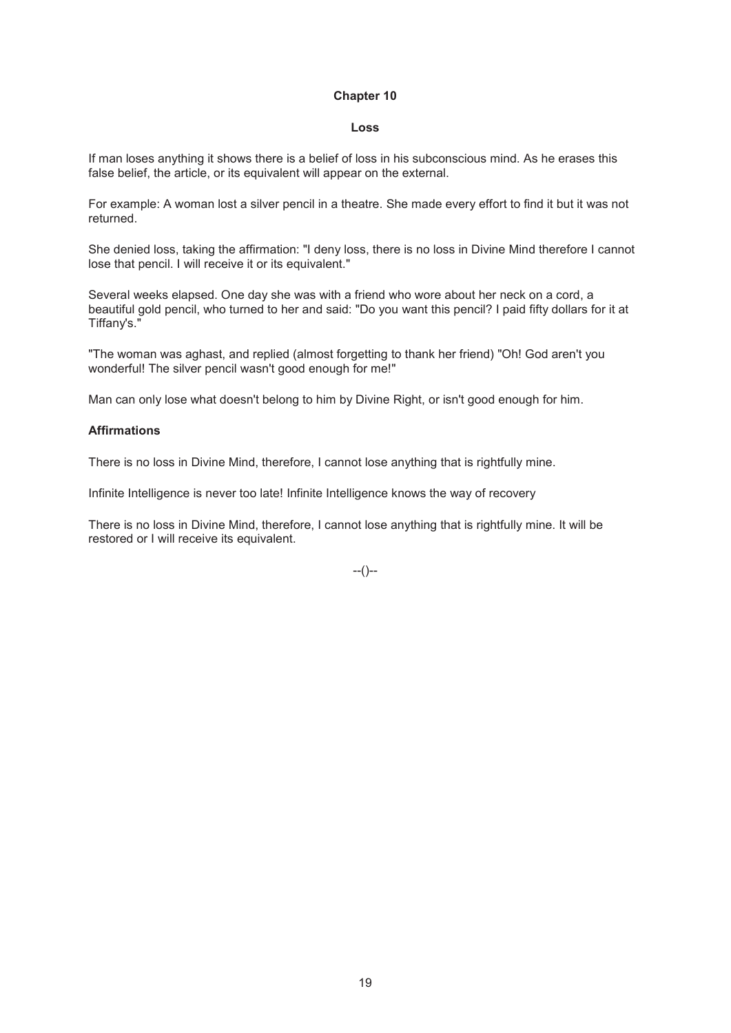### **Loss**

If man loses anything it shows there is a belief of loss in his subconscious mind. As he erases this false belief, the article, or its equivalent will appear on the external.

For example: A woman lost a silver pencil in a theatre. She made every effort to find it but it was not returned.

She denied loss, taking the affirmation: "I deny loss, there is no loss in Divine Mind therefore I cannot lose that pencil. I will receive it or its equivalent."

Several weeks elapsed. One day she was with a friend who wore about her neck on a cord, a beautiful gold pencil, who turned to her and said: "Do you want this pencil? I paid fifty dollars for it at Tiffany's."

"The woman was aghast, and replied (almost forgetting to thank her friend) "Oh! God aren't you wonderful! The silver pencil wasn't good enough for me!"

Man can only lose what doesn't belong to him by Divine Right, or isn't good enough for him.

### **Affirmations**

There is no loss in Divine Mind, therefore, I cannot lose anything that is rightfully mine.

Infinite Intelligence is never too late! Infinite Intelligence knows the way of recovery

There is no loss in Divine Mind, therefore, I cannot lose anything that is rightfully mine. It will be restored or I will receive its equivalent.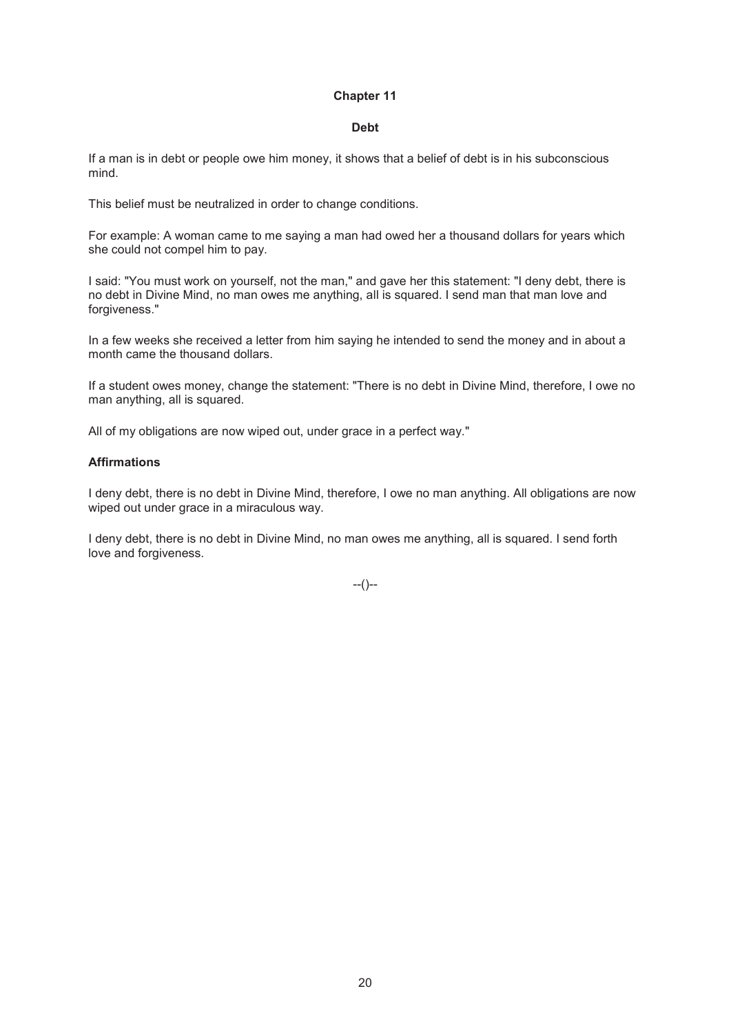#### **Debt**

If a man is in debt or people owe him money, it shows that a belief of debt is in his subconscious mind.

This belief must be neutralized in order to change conditions.

For example: A woman came to me saying a man had owed her a thousand dollars for years which she could not compel him to pay.

I said: "You must work on yourself, not the man," and gave her this statement: "I deny debt, there is no debt in Divine Mind, no man owes me anything, all is squared. I send man that man love and forgiveness."

In a few weeks she received a letter from him saying he intended to send the money and in about a month came the thousand dollars.

If a student owes money, change the statement: "There is no debt in Divine Mind, therefore, I owe no man anything, all is squared.

All of my obligations are now wiped out, under grace in a perfect way."

### **Affirmations**

I deny debt, there is no debt in Divine Mind, therefore, I owe no man anything. All obligations are now wiped out under grace in a miraculous way.

I deny debt, there is no debt in Divine Mind, no man owes me anything, all is squared. I send forth love and forgiveness.

 $-(-)$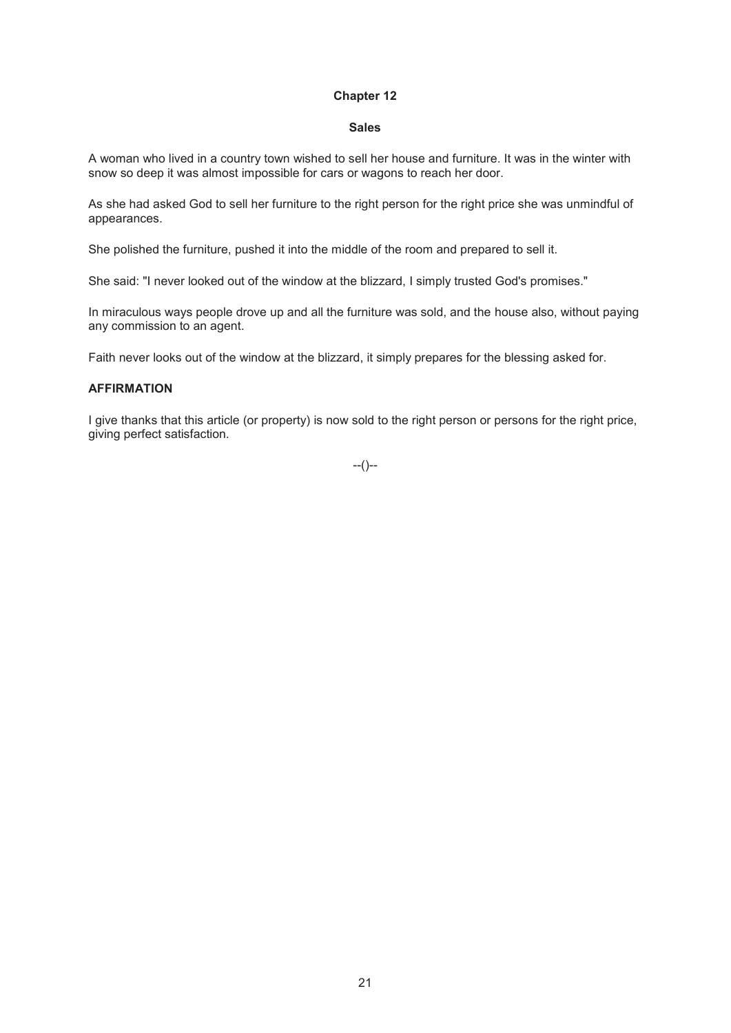### **Sales**

A woman who lived in a country town wished to sell her house and furniture. It was in the winter with snow so deep it was almost impossible for cars or wagons to reach her door.

As she had asked God to sell her furniture to the right person for the right price she was unmindful of appearances.

She polished the furniture, pushed it into the middle of the room and prepared to sell it.

She said: "I never looked out of the window at the blizzard, I simply trusted God's promises."

In miraculous ways people drove up and all the furniture was sold, and the house also, without paying any commission to an agent.

Faith never looks out of the window at the blizzard, it simply prepares for the blessing asked for.

### **AFFIRMATION**

I give thanks that this article (or property) is now sold to the right person or persons for the right price, giving perfect satisfaction.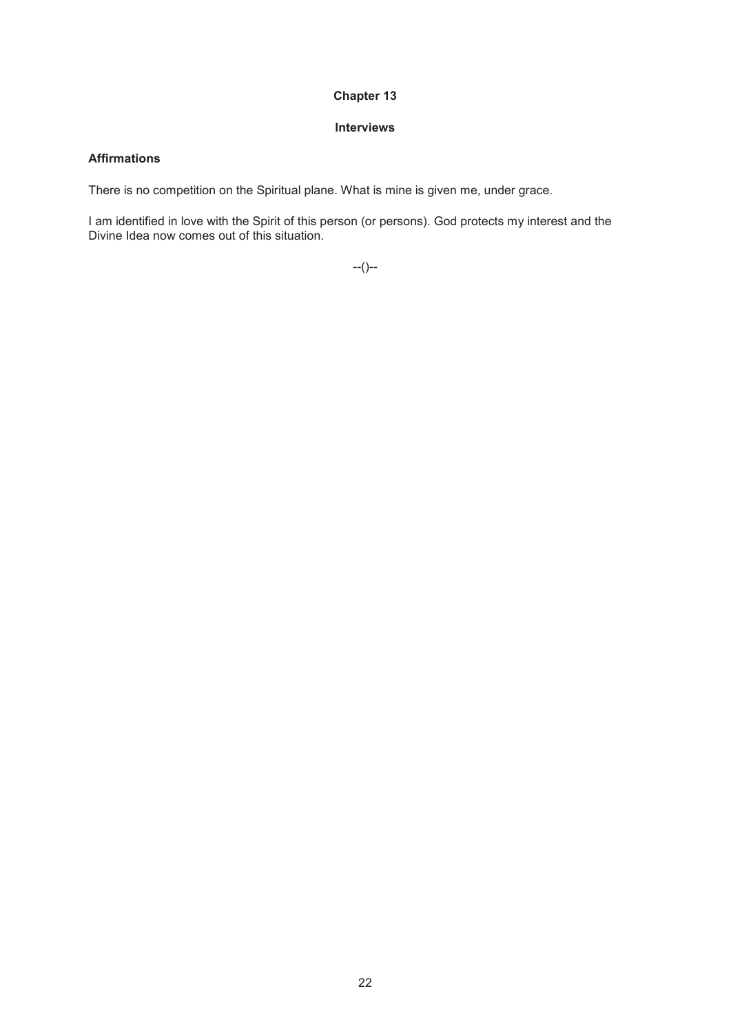# **Interviews**

# **Affirmations**

There is no competition on the Spiritual plane. What is mine is given me, under grace.

I am identified in love with the Spirit of this person (or persons). God protects my interest and the Divine Idea now comes out of this situation.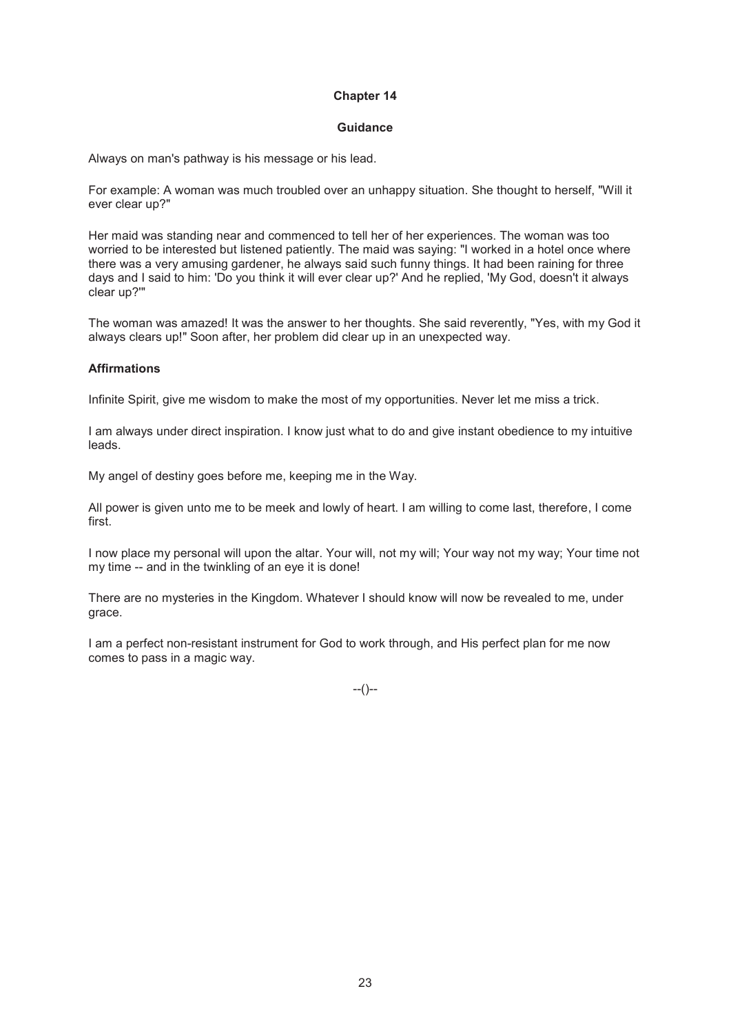### **Guidance**

Always on man's pathway is his message or his lead.

For example: A woman was much troubled over an unhappy situation. She thought to herself, "Will it ever clear up?"

Her maid was standing near and commenced to tell her of her experiences. The woman was too worried to be interested but listened patiently. The maid was saying: "I worked in a hotel once where there was a very amusing gardener, he always said such funny things. It had been raining for three days and I said to him: 'Do you think it will ever clear up?' And he replied, 'My God, doesn't it always clear up?'"

The woman was amazed! It was the answer to her thoughts. She said reverently, "Yes, with my God it always clears up!" Soon after, her problem did clear up in an unexpected way.

### **Affirmations**

Infinite Spirit, give me wisdom to make the most of my opportunities. Never let me miss a trick.

I am always under direct inspiration. I know just what to do and give instant obedience to my intuitive leads.

My angel of destiny goes before me, keeping me in the Way.

All power is given unto me to be meek and lowly of heart. I am willing to come last, therefore, I come first.

I now place my personal will upon the altar. Your will, not my will; Your way not my way; Your time not my time -- and in the twinkling of an eye it is done!

There are no mysteries in the Kingdom. Whatever I should know will now be revealed to me, under grace.

I am a perfect non-resistant instrument for God to work through, and His perfect plan for me now comes to pass in a magic way.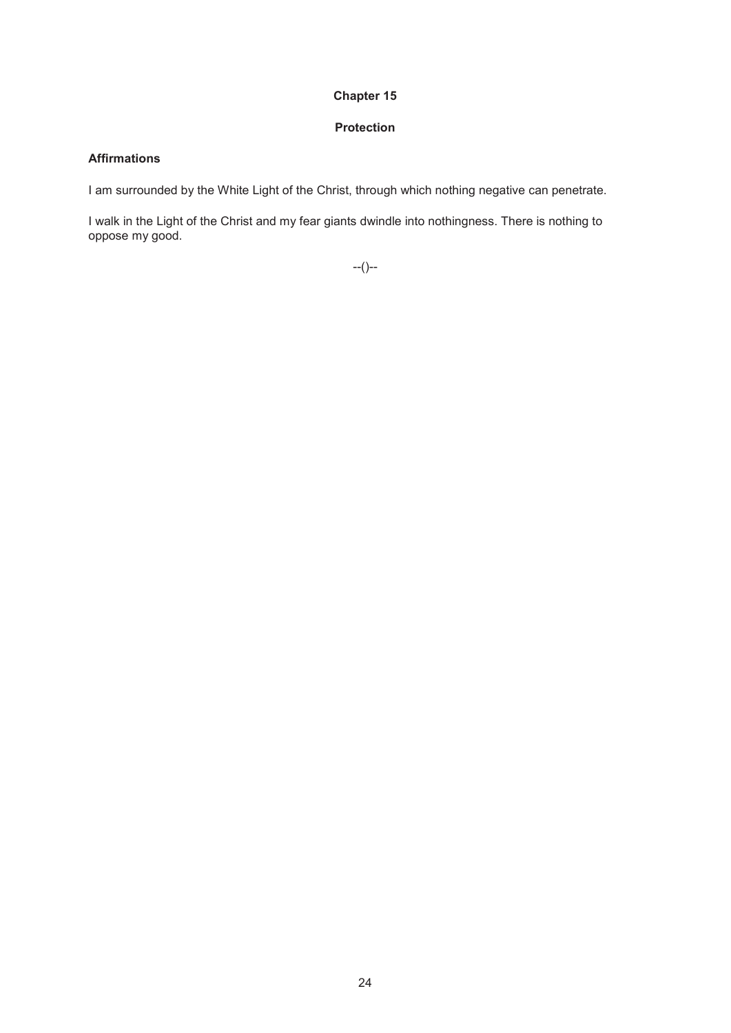# **Protection**

# **Affirmations**

I am surrounded by the White Light of the Christ, through which nothing negative can penetrate.

I walk in the Light of the Christ and my fear giants dwindle into nothingness. There is nothing to oppose my good.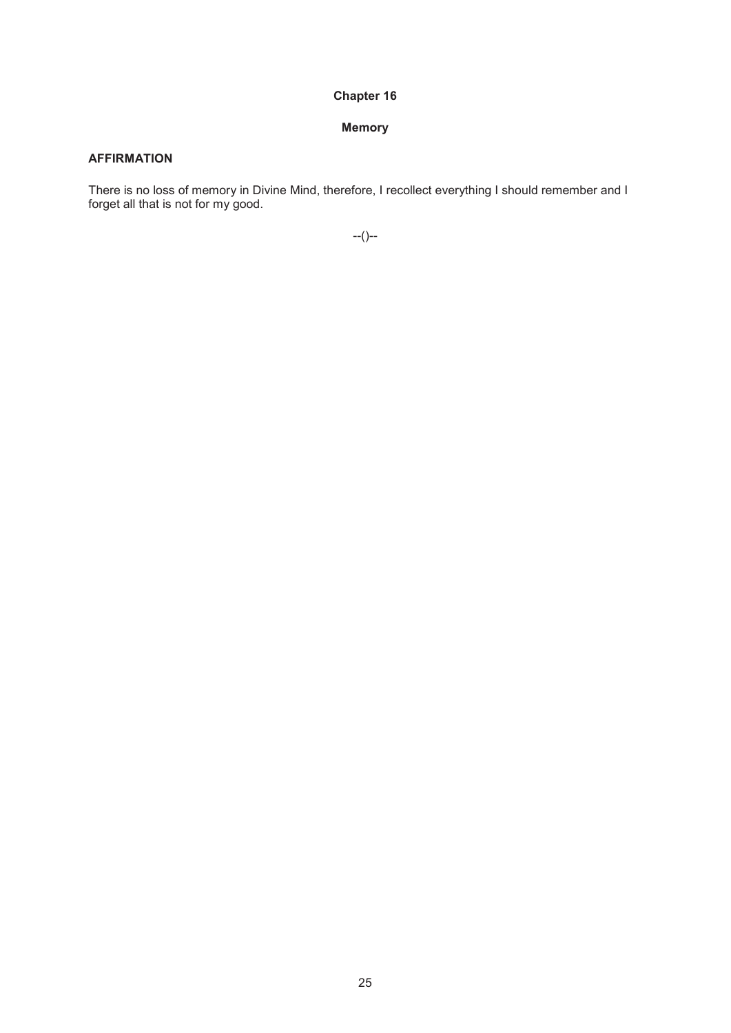### **Memory**

# **AFFIRMATION**

There is no loss of memory in Divine Mind, therefore, I recollect everything I should remember and I forget all that is not for my good.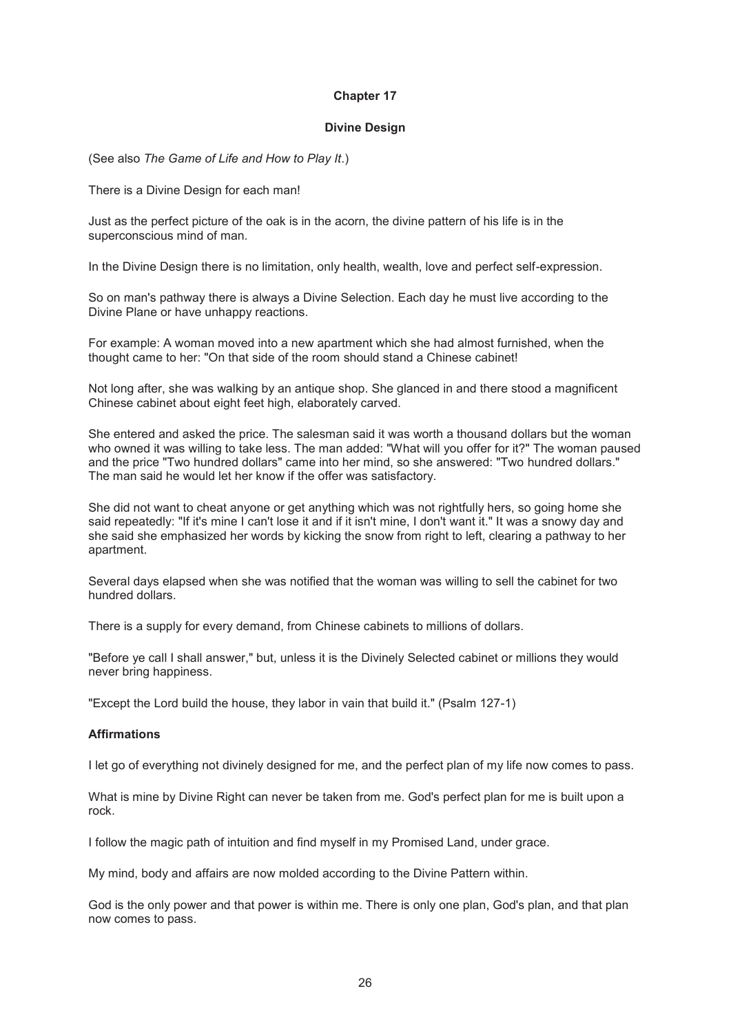### **Divine Design**

(See also *The Game of Life and How to Play It*.)

There is a Divine Design for each man!

Just as the perfect picture of the oak is in the acorn, the divine pattern of his life is in the superconscious mind of man.

In the Divine Design there is no limitation, only health, wealth, love and perfect self-expression.

So on man's pathway there is always a Divine Selection. Each day he must live according to the Divine Plane or have unhappy reactions.

For example: A woman moved into a new apartment which she had almost furnished, when the thought came to her: "On that side of the room should stand a Chinese cabinet!

Not long after, she was walking by an antique shop. She glanced in and there stood a magnificent Chinese cabinet about eight feet high, elaborately carved.

She entered and asked the price. The salesman said it was worth a thousand dollars but the woman who owned it was willing to take less. The man added: "What will you offer for it?" The woman paused and the price "Two hundred dollars" came into her mind, so she answered: "Two hundred dollars." The man said he would let her know if the offer was satisfactory.

She did not want to cheat anyone or get anything which was not rightfully hers, so going home she said repeatedly: "If it's mine I can't lose it and if it isn't mine, I don't want it." It was a snowy day and she said she emphasized her words by kicking the snow from right to left, clearing a pathway to her apartment.

Several days elapsed when she was notified that the woman was willing to sell the cabinet for two hundred dollars.

There is a supply for every demand, from Chinese cabinets to millions of dollars.

"Before ye call I shall answer," but, unless it is the Divinely Selected cabinet or millions they would never bring happiness.

"Except the Lord build the house, they labor in vain that build it." (Psalm 127-1)

### **Affirmations**

I let go of everything not divinely designed for me, and the perfect plan of my life now comes to pass.

What is mine by Divine Right can never be taken from me. God's perfect plan for me is built upon a rock.

I follow the magic path of intuition and find myself in my Promised Land, under grace.

My mind, body and affairs are now molded according to the Divine Pattern within.

God is the only power and that power is within me. There is only one plan, God's plan, and that plan now comes to pass.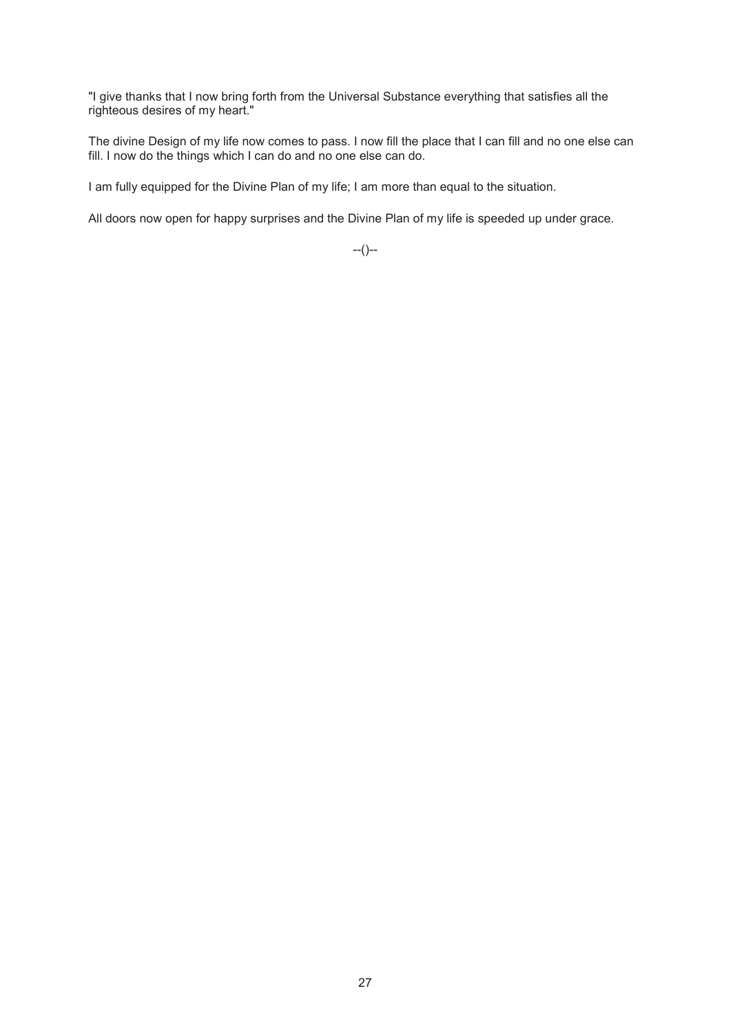"I give thanks that I now bring forth from the Universal Substance everything that satisfies all the righteous desires of my heart."

The divine Design of my life now comes to pass. I now fill the place that I can fill and no one else can fill. I now do the things which I can do and no one else can do.

I am fully equipped for the Divine Plan of my life; I am more than equal to the situation.

All doors now open for happy surprises and the Divine Plan of my life is speeded up under grace.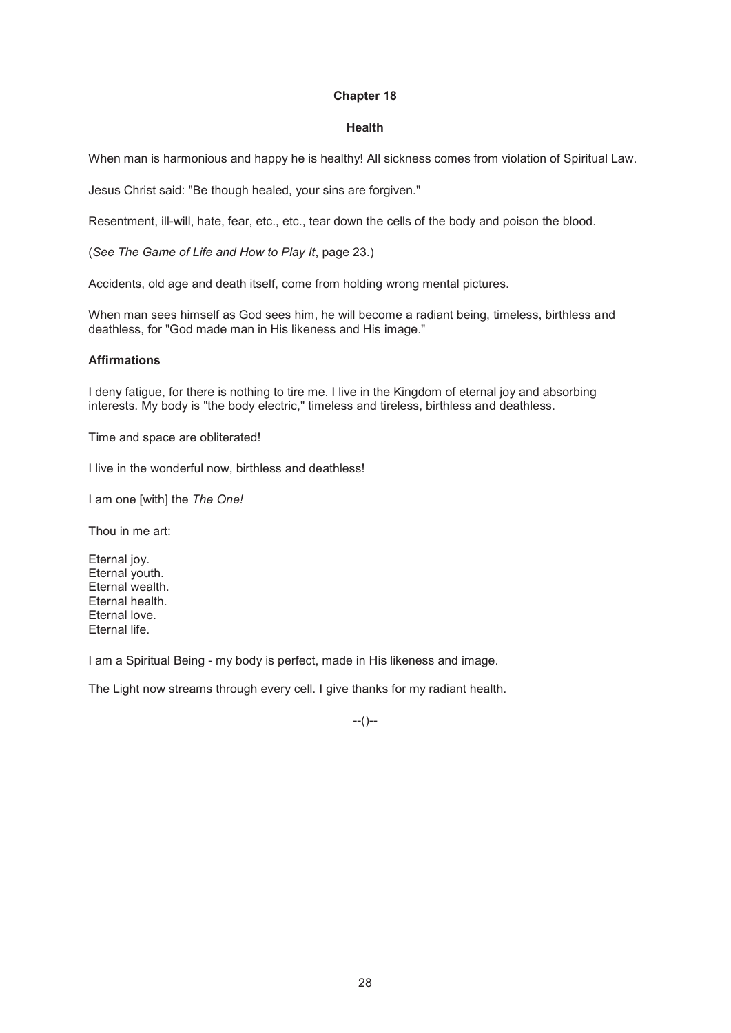### **Health**

When man is harmonious and happy he is healthy! All sickness comes from violation of Spiritual Law.

Jesus Christ said: "Be though healed, your sins are forgiven."

Resentment, ill-will, hate, fear, etc., etc., tear down the cells of the body and poison the blood.

(*See The Game of Life and How to Play It*, page 23.)

Accidents, old age and death itself, come from holding wrong mental pictures.

When man sees himself as God sees him, he will become a radiant being, timeless, birthless and deathless, for "God made man in His likeness and His image."

### **Affirmations**

I deny fatigue, for there is nothing to tire me. I live in the Kingdom of eternal joy and absorbing interests. My body is "the body electric," timeless and tireless, birthless and deathless.

Time and space are obliterated!

I live in the wonderful now, birthless and deathless!

I am one [with] the *The One!*

Thou in me art:

Eternal joy. Eternal youth. Eternal wealth. Eternal health. Eternal love. Eternal life.

I am a Spiritual Being - my body is perfect, made in His likeness and image.

The Light now streams through every cell. I give thanks for my radiant health.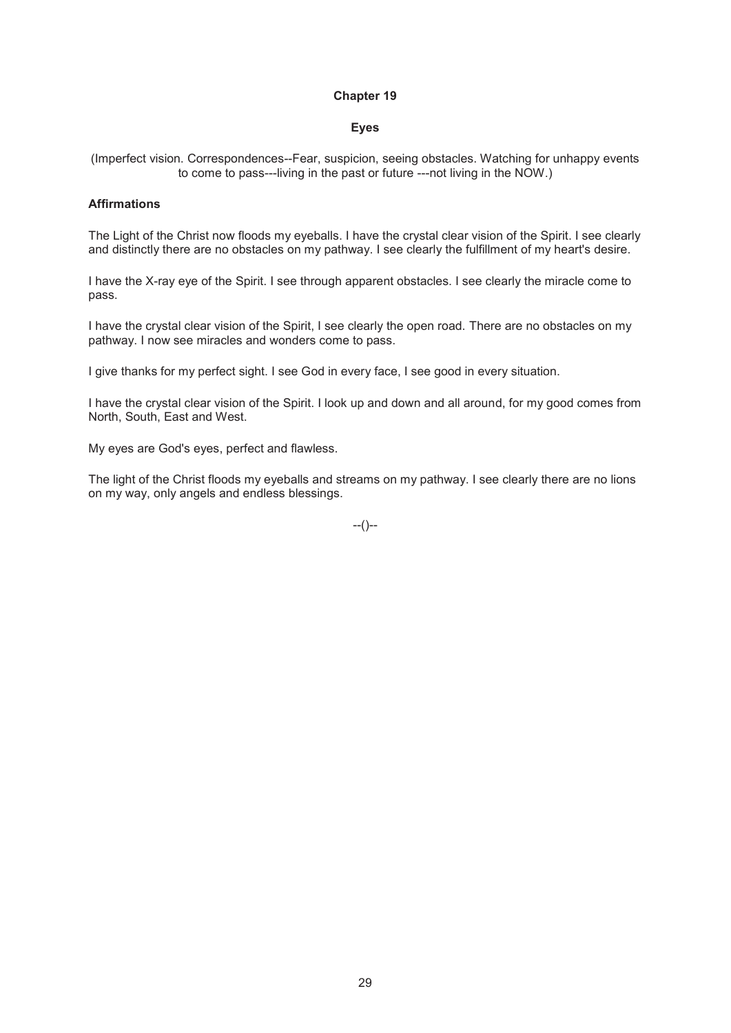### **Eyes**

(Imperfect vision. Correspondences--Fear, suspicion, seeing obstacles. Watching for unhappy events to come to pass---living in the past or future ---not living in the NOW.)

### **Affirmations**

The Light of the Christ now floods my eyeballs. I have the crystal clear vision of the Spirit. I see clearly and distinctly there are no obstacles on my pathway. I see clearly the fulfillment of my heart's desire.

I have the X-ray eye of the Spirit. I see through apparent obstacles. I see clearly the miracle come to pass.

I have the crystal clear vision of the Spirit, I see clearly the open road. There are no obstacles on my pathway. I now see miracles and wonders come to pass.

I give thanks for my perfect sight. I see God in every face, I see good in every situation.

I have the crystal clear vision of the Spirit. I look up and down and all around, for my good comes from North, South, East and West.

My eyes are God's eyes, perfect and flawless.

The light of the Christ floods my eyeballs and streams on my pathway. I see clearly there are no lions on my way, only angels and endless blessings.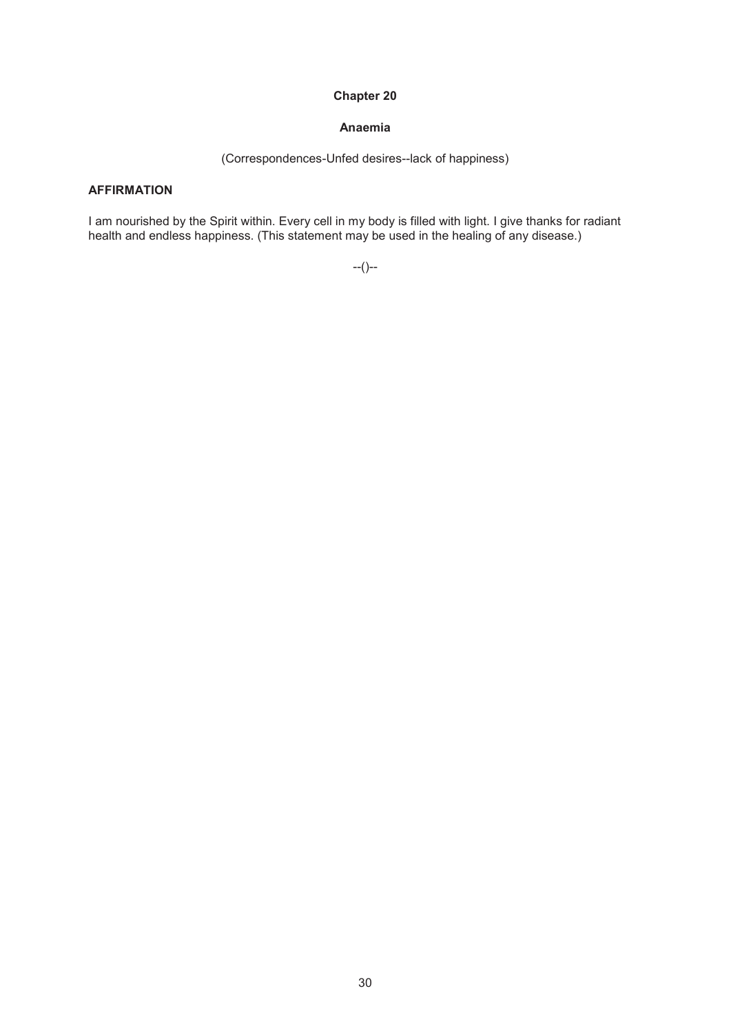### **Anaemia**

(Correspondences-Unfed desires--lack of happiness)

# **AFFIRMATION**

I am nourished by the Spirit within. Every cell in my body is filled with light. I give thanks for radiant health and endless happiness. (This statement may be used in the healing of any disease.)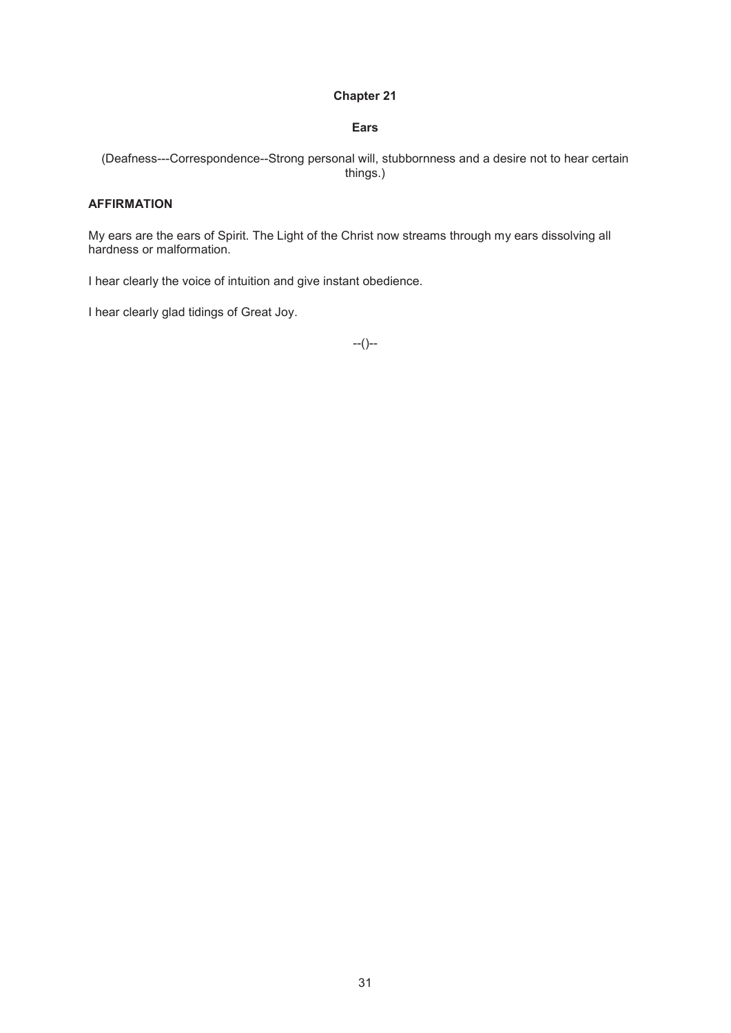### **Ears**

(Deafness---Correspondence--Strong personal will, stubbornness and a desire not to hear certain things.)

### **AFFIRMATION**

My ears are the ears of Spirit. The Light of the Christ now streams through my ears dissolving all hardness or malformation.

I hear clearly the voice of intuition and give instant obedience.

I hear clearly glad tidings of Great Joy.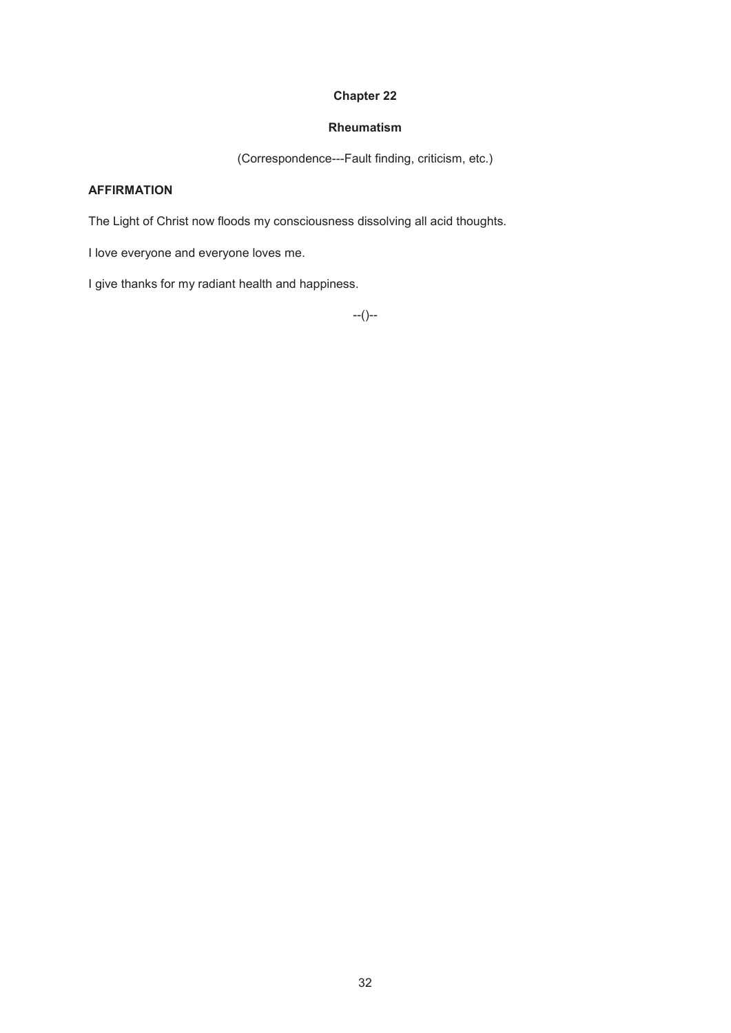# **Rheumatism**

(Correspondence---Fault finding, criticism, etc.)

# **AFFIRMATION**

The Light of Christ now floods my consciousness dissolving all acid thoughts.

I love everyone and everyone loves me.

I give thanks for my radiant health and happiness.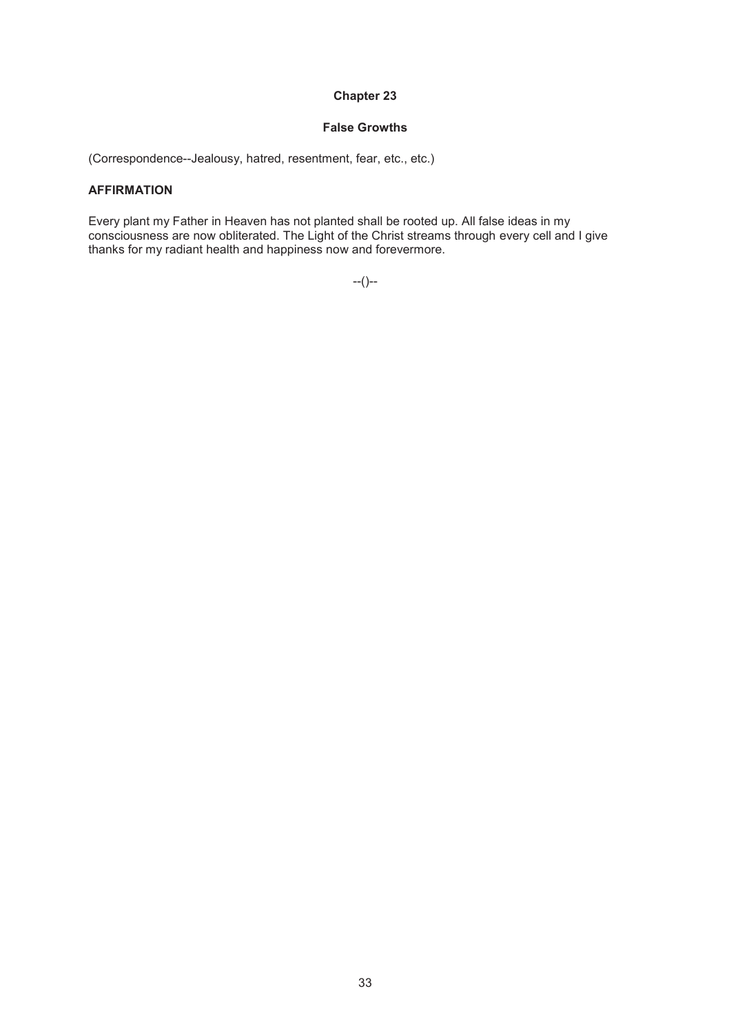### **False Growths**

(Correspondence--Jealousy, hatred, resentment, fear, etc., etc.)

### **AFFIRMATION**

Every plant my Father in Heaven has not planted shall be rooted up. All false ideas in my consciousness are now obliterated. The Light of the Christ streams through every cell and I give thanks for my radiant health and happiness now and forevermore.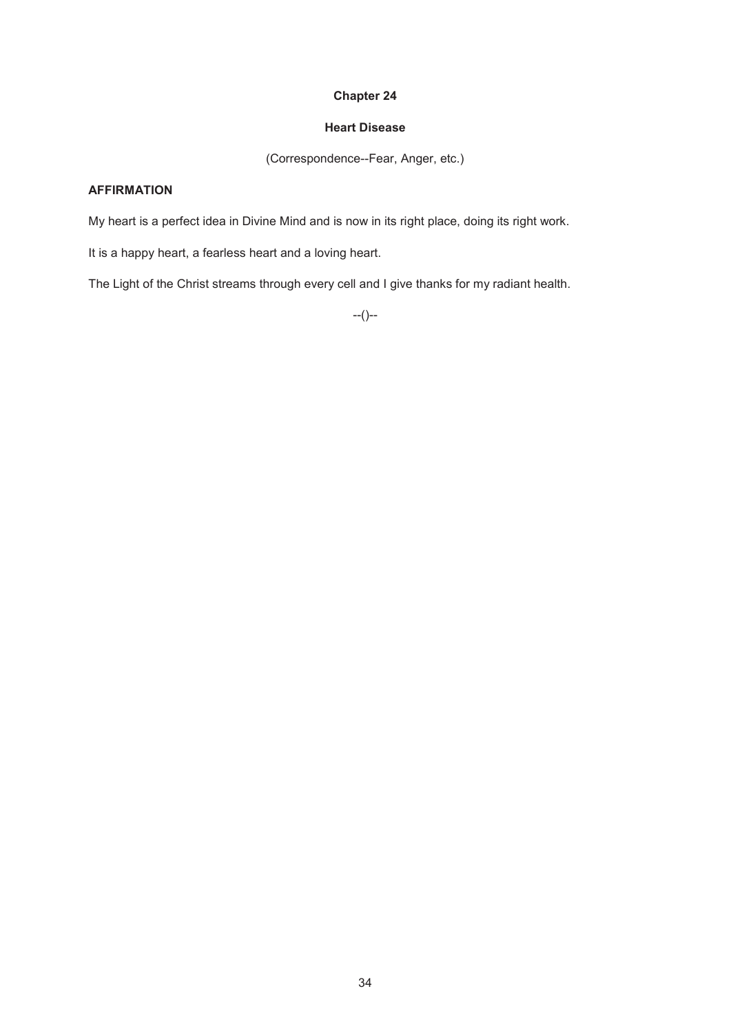# **Heart Disease**

(Correspondence--Fear, Anger, etc.)

# **AFFIRMATION**

My heart is a perfect idea in Divine Mind and is now in its right place, doing its right work.

It is a happy heart, a fearless heart and a loving heart.

The Light of the Christ streams through every cell and I give thanks for my radiant health.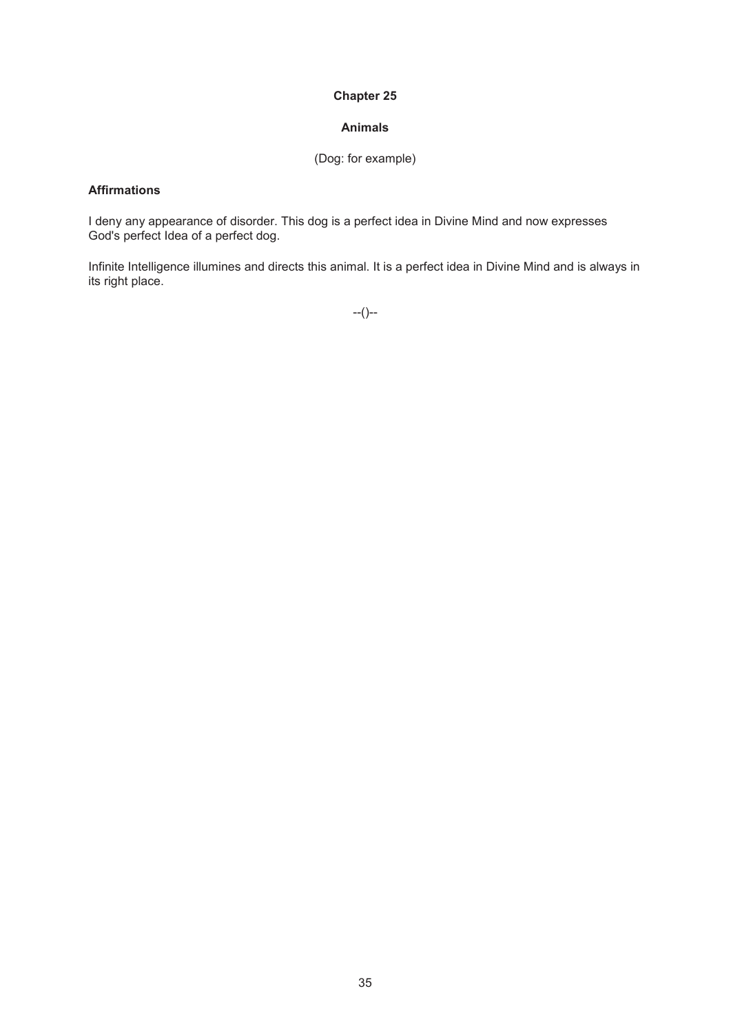### **Animals**

# (Dog: for example)

### **Affirmations**

I deny any appearance of disorder. This dog is a perfect idea in Divine Mind and now expresses God's perfect Idea of a perfect dog.

Infinite Intelligence illumines and directs this animal. It is a perfect idea in Divine Mind and is always in its right place.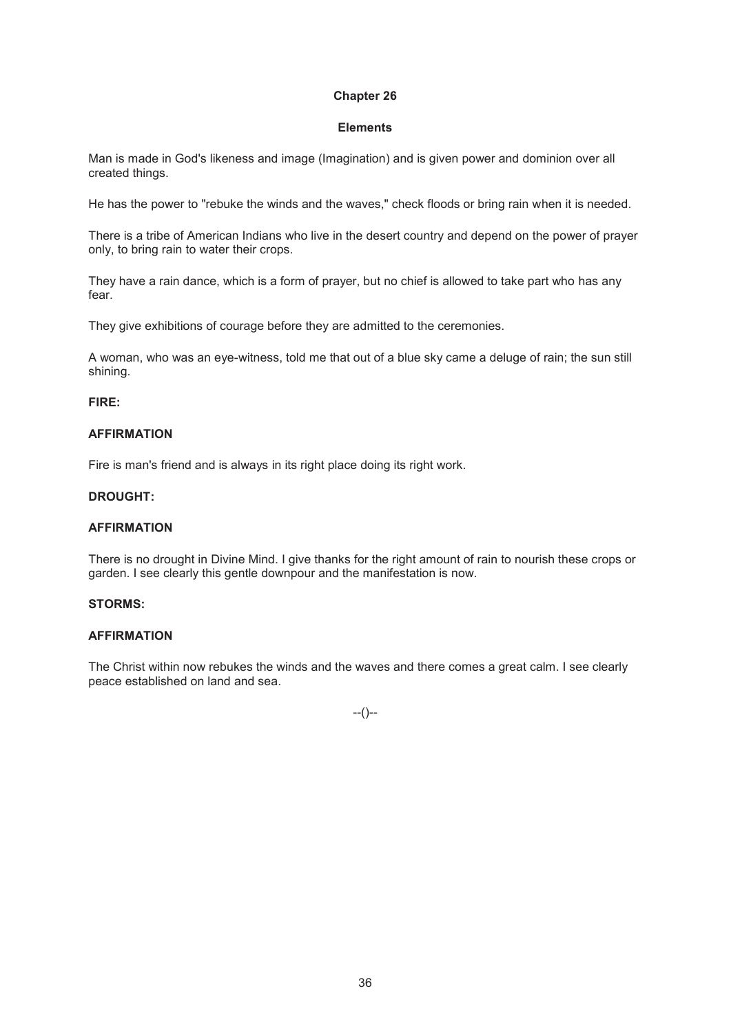### **Elements**

Man is made in God's likeness and image (Imagination) and is given power and dominion over all created things.

He has the power to "rebuke the winds and the waves," check floods or bring rain when it is needed.

There is a tribe of American Indians who live in the desert country and depend on the power of prayer only, to bring rain to water their crops.

They have a rain dance, which is a form of prayer, but no chief is allowed to take part who has any fear.

They give exhibitions of courage before they are admitted to the ceremonies.

A woman, who was an eye-witness, told me that out of a blue sky came a deluge of rain; the sun still shining.

### **FIRE:**

### **AFFIRMATION**

Fire is man's friend and is always in its right place doing its right work.

### **DROUGHT:**

### **AFFIRMATION**

There is no drought in Divine Mind. I give thanks for the right amount of rain to nourish these crops or garden. I see clearly this gentle downpour and the manifestation is now.

### **STORMS:**

### **AFFIRMATION**

The Christ within now rebukes the winds and the waves and there comes a great calm. I see clearly peace established on land and sea.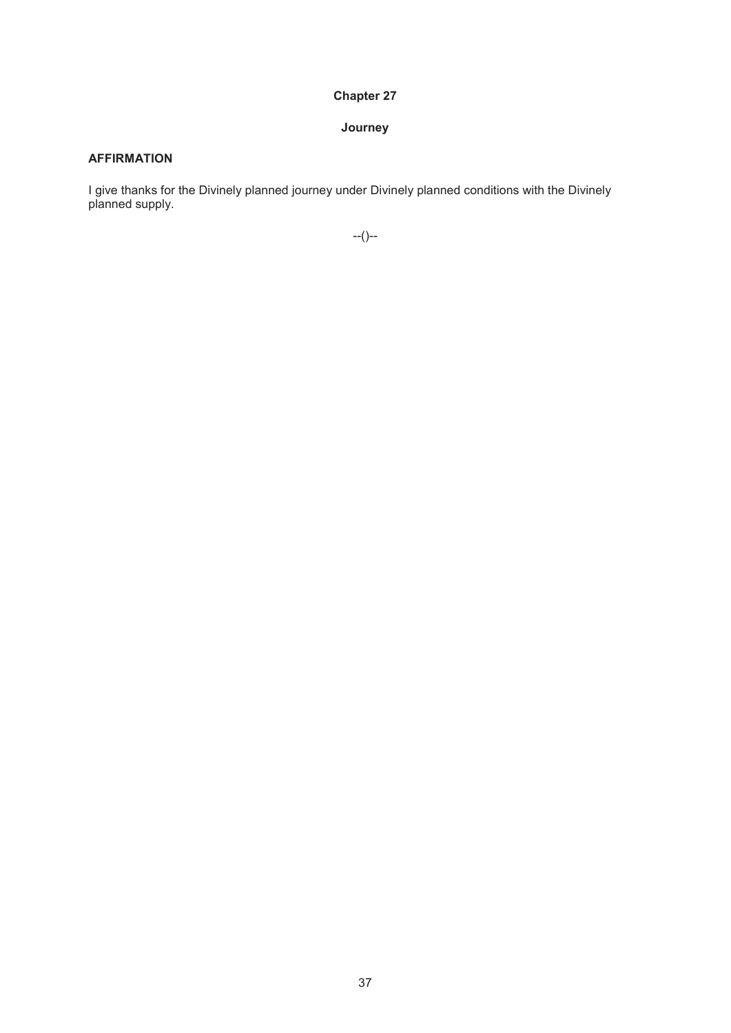# **Journey**

# **AFFIRMATION**

I give thanks for the Divinely planned journey under Divinely planned conditions with the Divinely planned supply.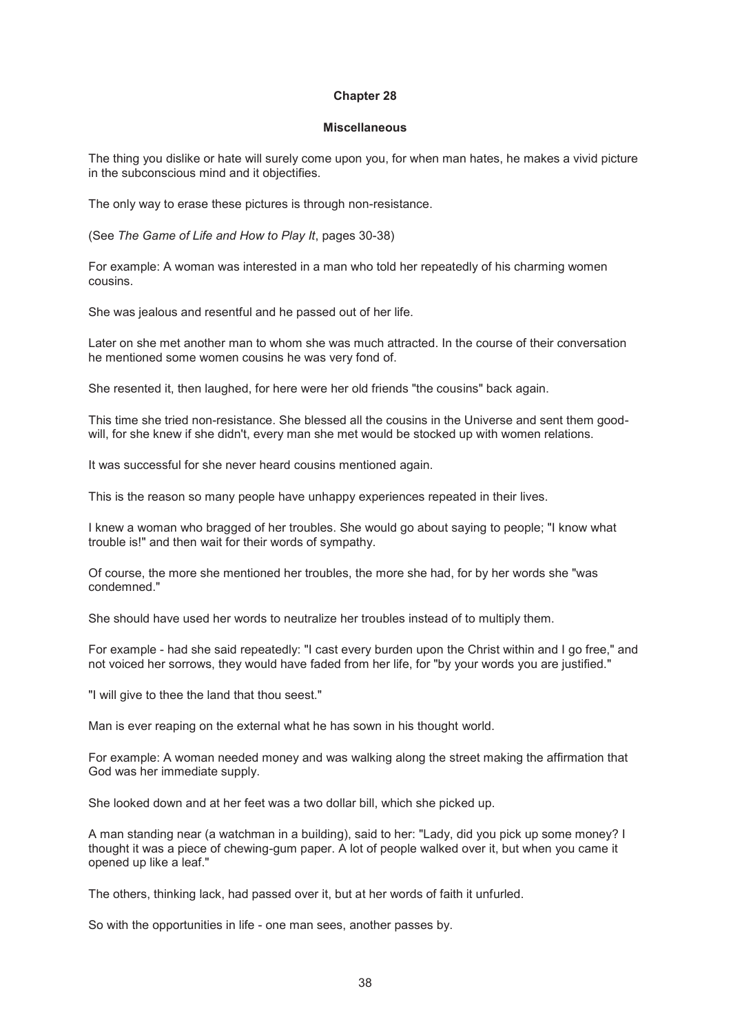#### **Miscellaneous**

The thing you dislike or hate will surely come upon you, for when man hates, he makes a vivid picture in the subconscious mind and it objectifies.

The only way to erase these pictures is through non-resistance.

(See *The Game of Life and How to Play It*, pages 30-38)

For example: A woman was interested in a man who told her repeatedly of his charming women cousins.

She was jealous and resentful and he passed out of her life.

Later on she met another man to whom she was much attracted. In the course of their conversation he mentioned some women cousins he was very fond of.

She resented it, then laughed, for here were her old friends "the cousins" back again.

This time she tried non-resistance. She blessed all the cousins in the Universe and sent them goodwill, for she knew if she didn't, every man she met would be stocked up with women relations.

It was successful for she never heard cousins mentioned again.

This is the reason so many people have unhappy experiences repeated in their lives.

I knew a woman who bragged of her troubles. She would go about saying to people; "I know what trouble is!" and then wait for their words of sympathy.

Of course, the more she mentioned her troubles, the more she had, for by her words she "was condemned."

She should have used her words to neutralize her troubles instead of to multiply them.

For example - had she said repeatedly: "I cast every burden upon the Christ within and I go free," and not voiced her sorrows, they would have faded from her life, for "by your words you are justified."

"I will give to thee the land that thou seest."

Man is ever reaping on the external what he has sown in his thought world.

For example: A woman needed money and was walking along the street making the affirmation that God was her immediate supply.

She looked down and at her feet was a two dollar bill, which she picked up.

A man standing near (a watchman in a building), said to her: "Lady, did you pick up some money? I thought it was a piece of chewing-gum paper. A lot of people walked over it, but when you came it opened up like a leaf."

The others, thinking lack, had passed over it, but at her words of faith it unfurled.

So with the opportunities in life - one man sees, another passes by.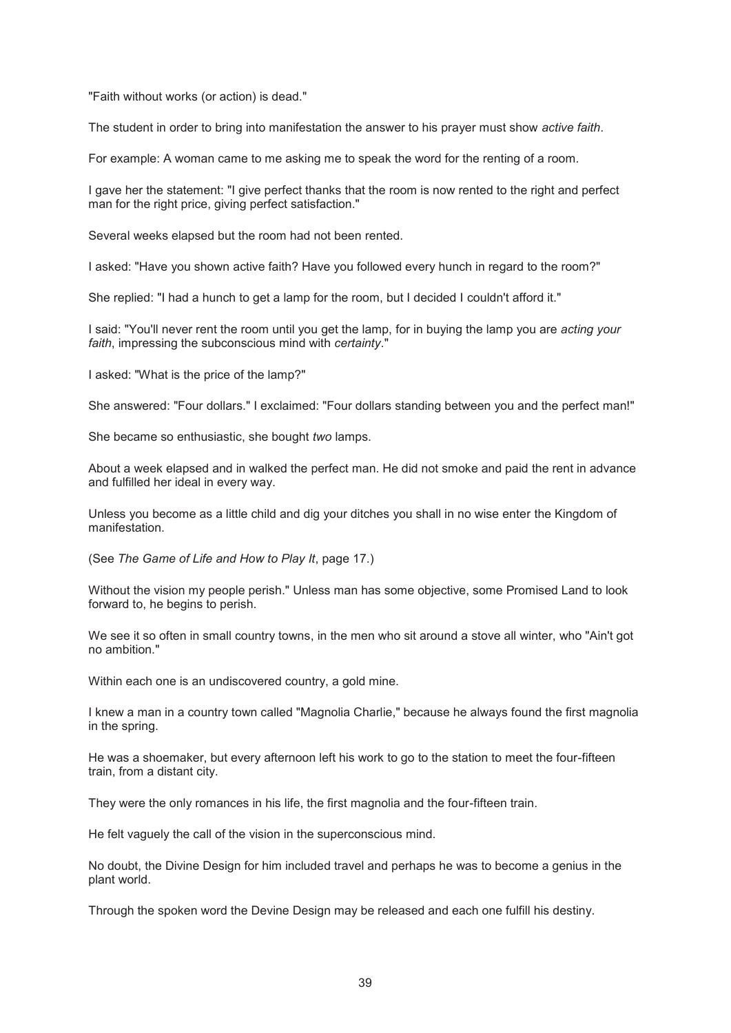"Faith without works (or action) is dead."

The student in order to bring into manifestation the answer to his prayer must show *active faith*.

For example: A woman came to me asking me to speak the word for the renting of a room.

I gave her the statement: "I give perfect thanks that the room is now rented to the right and perfect man for the right price, giving perfect satisfaction."

Several weeks elapsed but the room had not been rented.

I asked: "Have you shown active faith? Have you followed every hunch in regard to the room?"

She replied: "I had a hunch to get a lamp for the room, but I decided I couldn't afford it."

I said: "You'll never rent the room until you get the lamp, for in buying the lamp you are *acting your faith*, impressing the subconscious mind with *certainty*."

I asked: "What is the price of the lamp?"

She answered: "Four dollars." I exclaimed: "Four dollars standing between you and the perfect man!"

She became so enthusiastic, she bought *two* lamps.

About a week elapsed and in walked the perfect man. He did not smoke and paid the rent in advance and fulfilled her ideal in every way.

Unless you become as a little child and dig your ditches you shall in no wise enter the Kingdom of manifestation.

(See *The Game of Life and How to Play It*, page 17.)

Without the vision my people perish." Unless man has some objective, some Promised Land to look forward to, he begins to perish.

We see it so often in small country towns, in the men who sit around a stove all winter, who "Ain't got no ambition."

Within each one is an undiscovered country, a gold mine.

I knew a man in a country town called "Magnolia Charlie," because he always found the first magnolia in the spring.

He was a shoemaker, but every afternoon left his work to go to the station to meet the four-fifteen train, from a distant city.

They were the only romances in his life, the first magnolia and the four-fifteen train.

He felt vaguely the call of the vision in the superconscious mind.

No doubt, the Divine Design for him included travel and perhaps he was to become a genius in the plant world.

Through the spoken word the Devine Design may be released and each one fulfill his destiny.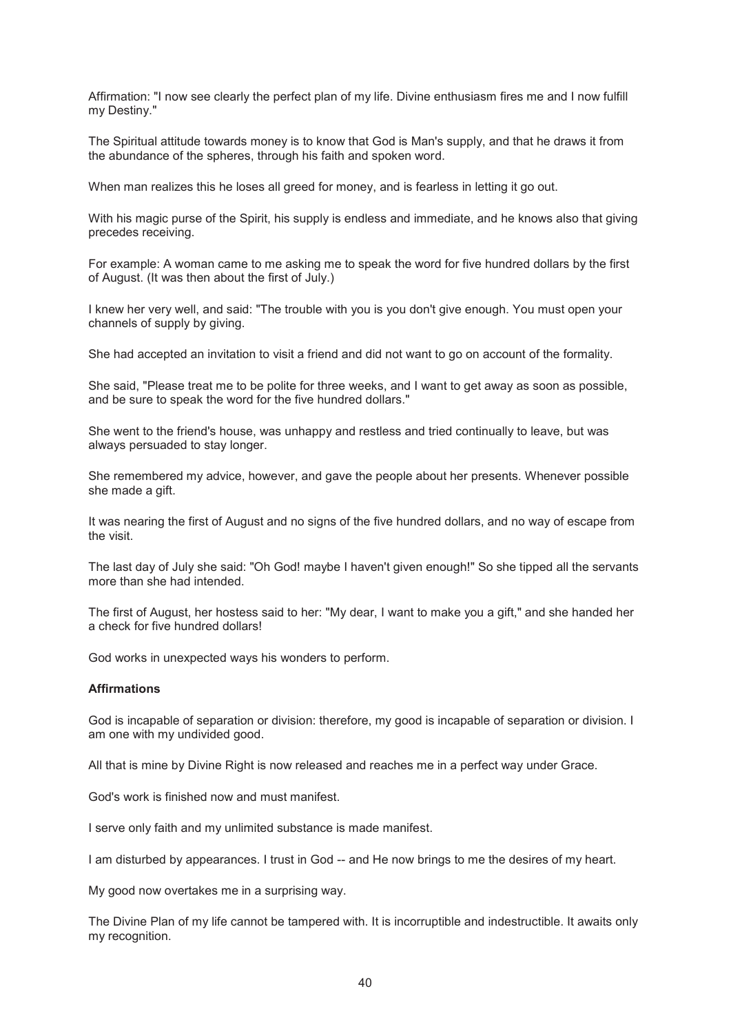Affirmation: "I now see clearly the perfect plan of my life. Divine enthusiasm fires me and I now fulfill my Destiny."

The Spiritual attitude towards money is to know that God is Man's supply, and that he draws it from the abundance of the spheres, through his faith and spoken word.

When man realizes this he loses all greed for money, and is fearless in letting it go out.

With his magic purse of the Spirit, his supply is endless and immediate, and he knows also that giving precedes receiving.

For example: A woman came to me asking me to speak the word for five hundred dollars by the first of August. (It was then about the first of July.)

I knew her very well, and said: "The trouble with you is you don't give enough. You must open your channels of supply by giving.

She had accepted an invitation to visit a friend and did not want to go on account of the formality.

She said, "Please treat me to be polite for three weeks, and I want to get away as soon as possible, and be sure to speak the word for the five hundred dollars."

She went to the friend's house, was unhappy and restless and tried continually to leave, but was always persuaded to stay longer.

She remembered my advice, however, and gave the people about her presents. Whenever possible she made a gift.

It was nearing the first of August and no signs of the five hundred dollars, and no way of escape from the visit.

The last day of July she said: "Oh God! maybe I haven't given enough!" So she tipped all the servants more than she had intended.

The first of August, her hostess said to her: "My dear, I want to make you a gift," and she handed her a check for five hundred dollars!

God works in unexpected ways his wonders to perform.

### **Affirmations**

God is incapable of separation or division: therefore, my good is incapable of separation or division. I am one with my undivided good.

All that is mine by Divine Right is now released and reaches me in a perfect way under Grace.

God's work is finished now and must manifest.

I serve only faith and my unlimited substance is made manifest.

I am disturbed by appearances. I trust in God -- and He now brings to me the desires of my heart.

My good now overtakes me in a surprising way.

The Divine Plan of my life cannot be tampered with. It is incorruptible and indestructible. It awaits only my recognition.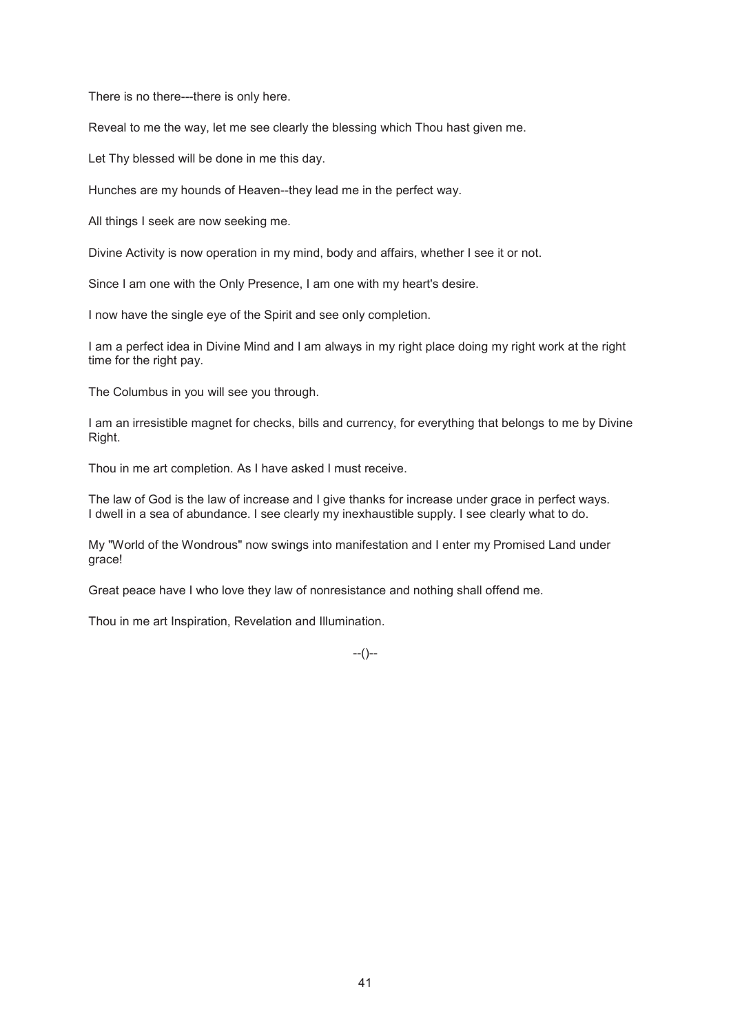There is no there---there is only here.

Reveal to me the way, let me see clearly the blessing which Thou hast given me.

Let Thy blessed will be done in me this day.

Hunches are my hounds of Heaven--they lead me in the perfect way.

All things I seek are now seeking me.

Divine Activity is now operation in my mind, body and affairs, whether I see it or not.

Since I am one with the Only Presence, I am one with my heart's desire.

I now have the single eye of the Spirit and see only completion.

I am a perfect idea in Divine Mind and I am always in my right place doing my right work at the right time for the right pay.

The Columbus in you will see you through.

I am an irresistible magnet for checks, bills and currency, for everything that belongs to me by Divine Right.

Thou in me art completion. As I have asked I must receive.

The law of God is the law of increase and I give thanks for increase under grace in perfect ways. I dwell in a sea of abundance. I see clearly my inexhaustible supply. I see clearly what to do.

My "World of the Wondrous" now swings into manifestation and I enter my Promised Land under grace!

Great peace have I who love they law of nonresistance and nothing shall offend me.

Thou in me art Inspiration, Revelation and Illumination.

 $-(-)$